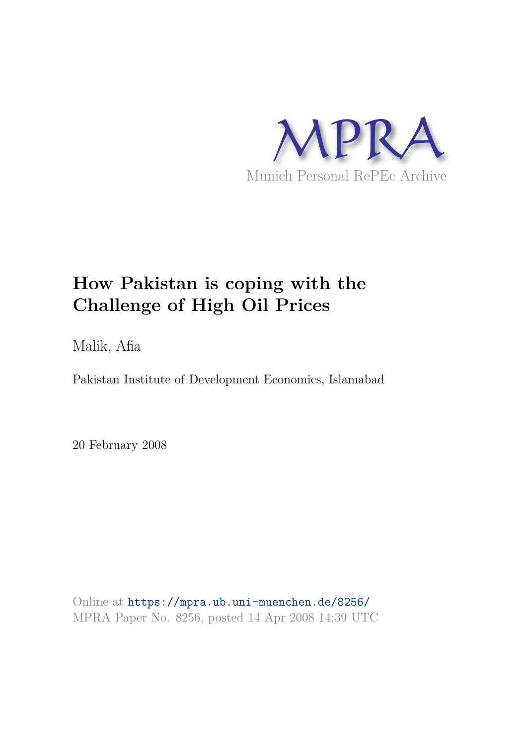

# **How Pakistan is coping with the Challenge of High Oil Prices**

Malik, Afia

Pakistan Institute of Development Economics, Islamabad

20 February 2008

Online at https://mpra.ub.uni-muenchen.de/8256/ MPRA Paper No. 8256, posted 14 Apr 2008 14:39 UTC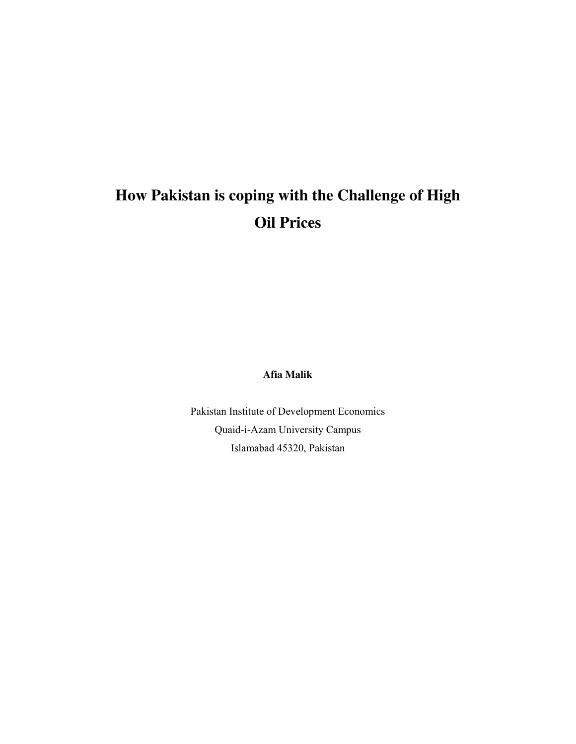# **How Pakistan is coping with the Challenge of High Oil Prices**

**Afia Malik**

Pakistan Institute of Development Economics Quaid-i-Azam University Campus Islamabad 45320, Pakistan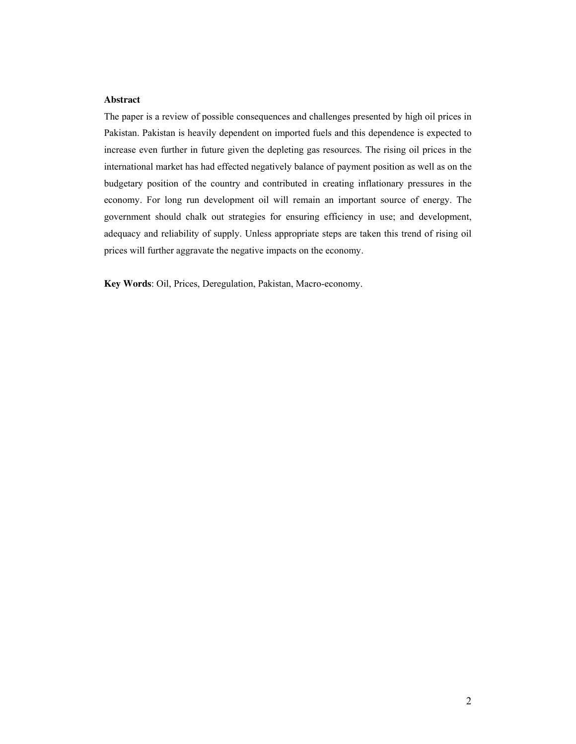## **Abstract**

The paper is a review of possible consequences and challenges presented by high oil prices in Pakistan. Pakistan is heavily dependent on imported fuels and this dependence is expected to increase even further in future given the depleting gas resources. The rising oil prices in the international market has had effected negatively balance of payment position as well as on the budgetary position of the country and contributed in creating inflationary pressures in the economy. For long run development oil will remain an important source of energy. The government should chalk out strategies for ensuring efficiency in use; and development, adequacy and reliability of supply. Unless appropriate steps are taken this trend of rising oil prices will further aggravate the negative impacts on the economy.

**Key Words**: Oil, Prices, Deregulation, Pakistan, Macro-economy.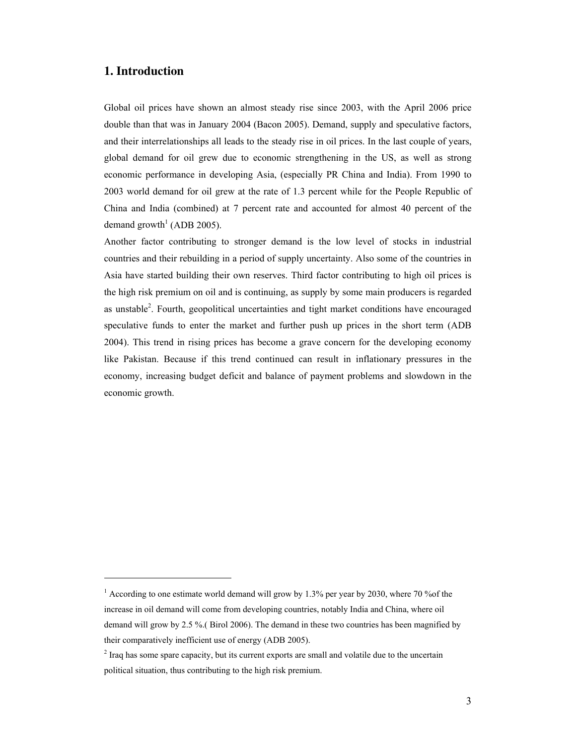## **1. Introduction**

 $\overline{a}$ 

Global oil prices have shown an almost steady rise since 2003, with the April 2006 price double than that was in January 2004 (Bacon 2005). Demand, supply and speculative factors, and their interrelationships all leads to the steady rise in oil prices. In the last couple of years, global demand for oil grew due to economic strengthening in the US, as well as strong economic performance in developing Asia, (especially PR China and India). From 1990 to 2003 world demand for oil grew at the rate of 1.3 percent while for the People Republic of China and India (combined) at 7 percent rate and accounted for almost 40 percent of the demand growth<sup>1</sup> (ADB 2005).

Another factor contributing to stronger demand is the low level of stocks in industrial countries and their rebuilding in a period of supply uncertainty. Also some of the countries in Asia have started building their own reserves. Third factor contributing to high oil prices is the high risk premium on oil and is continuing, as supply by some main producers is regarded as unstable<sup>2</sup>. Fourth, geopolitical uncertainties and tight market conditions have encouraged speculative funds to enter the market and further push up prices in the short term (ADB 2004). This trend in rising prices has become a grave concern for the developing economy like Pakistan. Because if this trend continued can result in inflationary pressures in the economy, increasing budget deficit and balance of payment problems and slowdown in the economic growth.

 $1$  According to one estimate world demand will grow by 1.3% per year by 2030, where 70 % of the increase in oil demand will come from developing countries, notably India and China, where oil demand will grow by 2.5 %.( Birol 2006). The demand in these two countries has been magnified by their comparatively inefficient use of energy (ADB 2005).

 $2^{2}$  Iraq has some spare capacity, but its current exports are small and volatile due to the uncertain political situation, thus contributing to the high risk premium.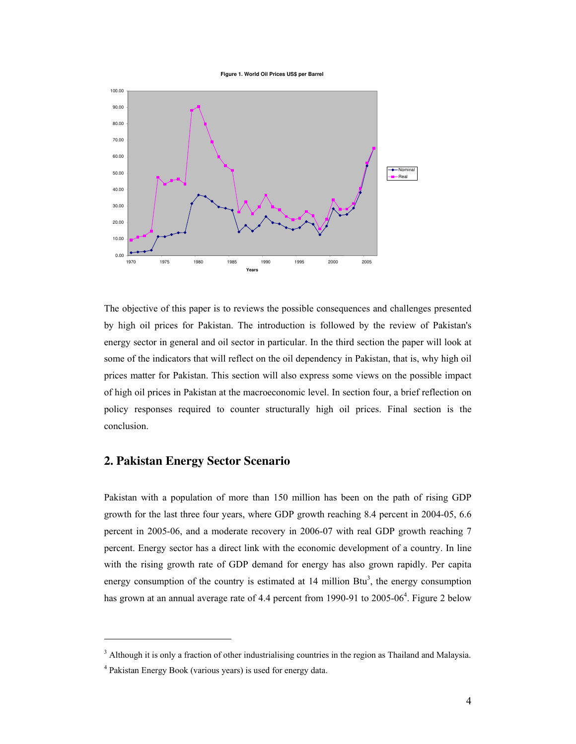**Figure 1. World Oil Prices US\$ per Barrel**



The objective of this paper is to reviews the possible consequences and challenges presented by high oil prices for Pakistan. The introduction is followed by the review of Pakistan's energy sector in general and oil sector in particular. In the third section the paper will look at some of the indicators that will reflect on the oil dependency in Pakistan, that is, why high oil prices matter for Pakistan. This section will also express some views on the possible impact of high oil prices in Pakistan at the macroeconomic level. In section four, a brief reflection on policy responses required to counter structurally high oil prices. Final section is the conclusion.

## **2. Pakistan Energy Sector Scenario**

Pakistan with a population of more than 150 million has been on the path of rising GDP growth for the last three four years, where GDP growth reaching 8.4 percent in 2004-05, 6.6 percent in 2005-06, and a moderate recovery in 2006-07 with real GDP growth reaching 7 percent. Energy sector has a direct link with the economic development of a country. In line with the rising growth rate of GDP demand for energy has also grown rapidly. Per capita energy consumption of the country is estimated at  $14$  million Btu<sup>3</sup>, the energy consumption has grown at an annual average rate of 4.4 percent from 1990-91 to 2005-06<sup>4</sup>. Figure 2 below

<sup>&</sup>lt;sup>3</sup> Although it is only a fraction of other industrialising countries in the region as Thailand and Malaysia.

<sup>4</sup> Pakistan Energy Book (various years) is used for energy data.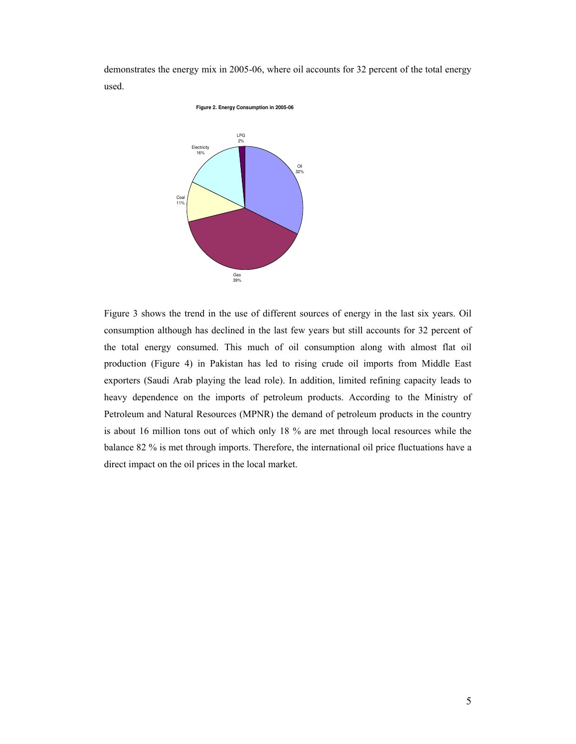demonstrates the energy mix in 2005-06, where oil accounts for 32 percent of the total energy used.



Figure 3 shows the trend in the use of different sources of energy in the last six years. Oil consumption although has declined in the last few years but still accounts for 32 percent of the total energy consumed. This much of oil consumption along with almost flat oil production (Figure 4) in Pakistan has led to rising crude oil imports from Middle East exporters (Saudi Arab playing the lead role). In addition, limited refining capacity leads to heavy dependence on the imports of petroleum products. According to the Ministry of Petroleum and Natural Resources (MPNR) the demand of petroleum products in the country is about 16 million tons out of which only 18 % are met through local resources while the balance 82 % is met through imports. Therefore, the international oil price fluctuations have a direct impact on the oil prices in the local market.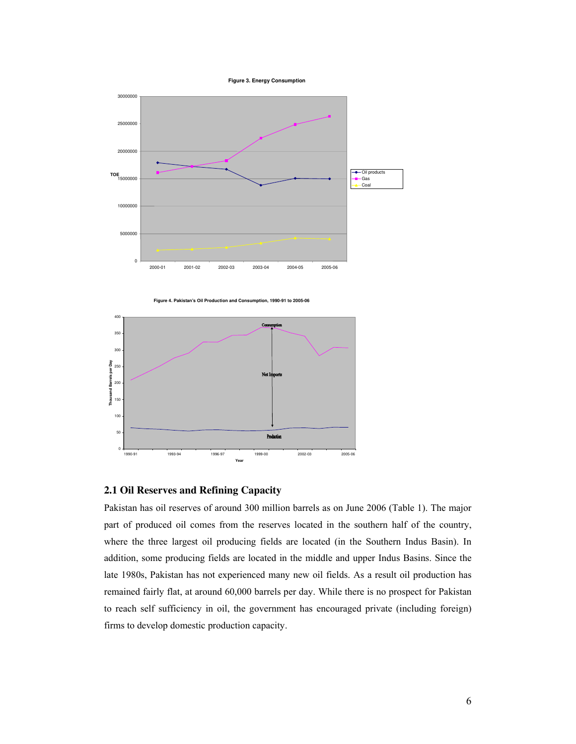



**Figure 4. Pakistan's Oil Production and Consumption, 1990-91 to 2005-06** 



## **2.1 Oil Reserves and Refining Capacity**

Pakistan has oil reserves of around 300 million barrels as on June 2006 (Table 1). The major part of produced oil comes from the reserves located in the southern half of the country, where the three largest oil producing fields are located (in the Southern Indus Basin). In addition, some producing fields are located in the middle and upper Indus Basins. Since the late 1980s, Pakistan has not experienced many new oil fields. As a result oil production has remained fairly flat, at around 60,000 barrels per day. While there is no prospect for Pakistan to reach self sufficiency in oil, the government has encouraged private (including foreign) firms to develop domestic production capacity.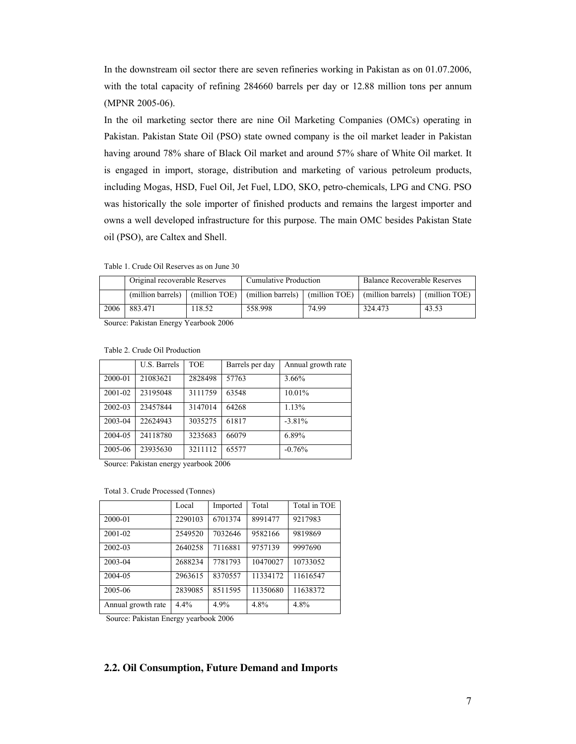In the downstream oil sector there are seven refineries working in Pakistan as on 01.07.2006, with the total capacity of refining 284660 barrels per day or 12.88 million tons per annum (MPNR 2005-06).

In the oil marketing sector there are nine Oil Marketing Companies (OMCs) operating in Pakistan. Pakistan State Oil (PSO) state owned company is the oil market leader in Pakistan having around 78% share of Black Oil market and around 57% share of White Oil market. It is engaged in import, storage, distribution and marketing of various petroleum products, including Mogas, HSD, Fuel Oil, Jet Fuel, LDO, SKO, petro-chemicals, LPG and CNG. PSO was historically the sole importer of finished products and remains the largest importer and owns a well developed infrastructure for this purpose. The main OMC besides Pakistan State oil (PSO), are Caltex and Shell.

Table 1. Crude Oil Reserves as on June 30

|      | Original recoverable Reserves |               | Cumulative Production |               | <b>Balance Recoverable Reserves</b> |       |
|------|-------------------------------|---------------|-----------------------|---------------|-------------------------------------|-------|
|      | (million barrels)             | (million TOE) | (million barrels)     | (million TOE) | (million barrels) (million TOE)     |       |
| 2006 | 883.471                       | 18.52         | 558.998               | 74.99         | 324.473                             | 43.53 |

Source: Pakistan Energy Yearbook 2006

|         | U.S. Barrels | <b>TOE</b> | Barrels per day | Annual growth rate |
|---------|--------------|------------|-----------------|--------------------|
| 2000-01 | 21083621     | 2828498    | 57763           | 3.66%              |
| 2001-02 | 23195048     | 3111759    | 63548           | 10.01%             |
| 2002-03 | 23457844     | 3147014    | 64268           | 1.13%              |
| 2003-04 | 22624943     | 3035275    | 61817           | $-3.81\%$          |
| 2004-05 | 24118780     | 3235683    | 66079           | 6.89%              |
| 2005-06 | 23935630     | 3211112    | 65577           | $-0.76%$           |

Table 2. Crude Oil Production

Source: Pakistan energy yearbook 2006

Total 3. Crude Processed (Tonnes)

|                    | Local   | Imported | Total    | Total in TOE |
|--------------------|---------|----------|----------|--------------|
| 2000-01            | 2290103 | 6701374  | 8991477  | 9217983      |
| 2001-02            | 2549520 | 7032646  | 9582166  | 9819869      |
| 2002-03            | 2640258 | 7116881  | 9757139  | 9997690      |
| 2003-04            | 2688234 | 7781793  | 10470027 | 10733052     |
| 2004-05            | 2963615 | 8370557  | 11334172 | 11616547     |
| 2005-06            | 2839085 | 8511595  | 11350680 | 11638372     |
| Annual growth rate | 4.4%    | 4.9%     | 4.8%     | 4.8%         |

Source: Pakistan Energy yearbook 2006

## **2.2. Oil Consumption, Future Demand and Imports**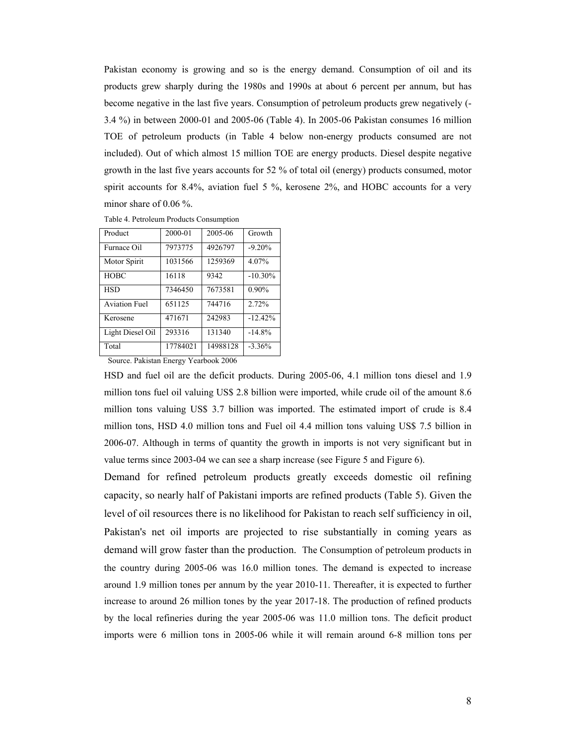Pakistan economy is growing and so is the energy demand. Consumption of oil and its products grew sharply during the 1980s and 1990s at about 6 percent per annum, but has become negative in the last five years. Consumption of petroleum products grew negatively (- 3.4 %) in between 2000-01 and 2005-06 (Table 4). In 2005-06 Pakistan consumes 16 million TOE of petroleum products (in Table 4 below non-energy products consumed are not included). Out of which almost 15 million TOE are energy products. Diesel despite negative growth in the last five years accounts for 52 % of total oil (energy) products consumed, motor spirit accounts for 8.4%, aviation fuel 5 %, kerosene 2%, and HOBC accounts for a very minor share of 0.06 %.

| Product              | 2000-01  | 2005-06  | Growth     |
|----------------------|----------|----------|------------|
| Furnace Oil          | 7973775  | 4926797  | $-9.20%$   |
| Motor Spirit         | 1031566  | 1259369  | 4.07%      |
| <b>HOBC</b>          | 16118    | 9342     | $-10.30\%$ |
| <b>HSD</b>           | 7346450  | 7673581  | $0.90\%$   |
| <b>Aviation Fuel</b> | 651125   | 744716   | 2.72%      |
| Kerosene             | 471671   | 242983   | $-12.42%$  |
| Light Diesel Oil     | 293316   | 131340   | $-14.8%$   |
| Total                | 17784021 | 14988128 | $-3.36\%$  |

Table 4. Petroleum Products Consumption

Source. Pakistan Energy Yearbook 2006

HSD and fuel oil are the deficit products. During 2005-06, 4.1 million tons diesel and 1.9 million tons fuel oil valuing US\$ 2.8 billion were imported, while crude oil of the amount 8.6 million tons valuing US\$ 3.7 billion was imported. The estimated import of crude is 8.4 million tons, HSD 4.0 million tons and Fuel oil 4.4 million tons valuing US\$ 7.5 billion in 2006-07. Although in terms of quantity the growth in imports is not very significant but in value terms since 2003-04 we can see a sharp increase (see Figure 5 and Figure 6).

Demand for refined petroleum products greatly exceeds domestic oil refining capacity, so nearly half of Pakistani imports are refined products (Table 5). Given the level of oil resources there is no likelihood for Pakistan to reach self sufficiency in oil, Pakistan's net oil imports are projected to rise substantially in coming years as demand will grow faster than the production. The Consumption of petroleum products in the country during 2005-06 was 16.0 million tones. The demand is expected to increase around 1.9 million tones per annum by the year 2010-11. Thereafter, it is expected to further increase to around 26 million tones by the year 2017-18. The production of refined products by the local refineries during the year 2005-06 was 11.0 million tons. The deficit product imports were 6 million tons in 2005-06 while it will remain around 6-8 million tons per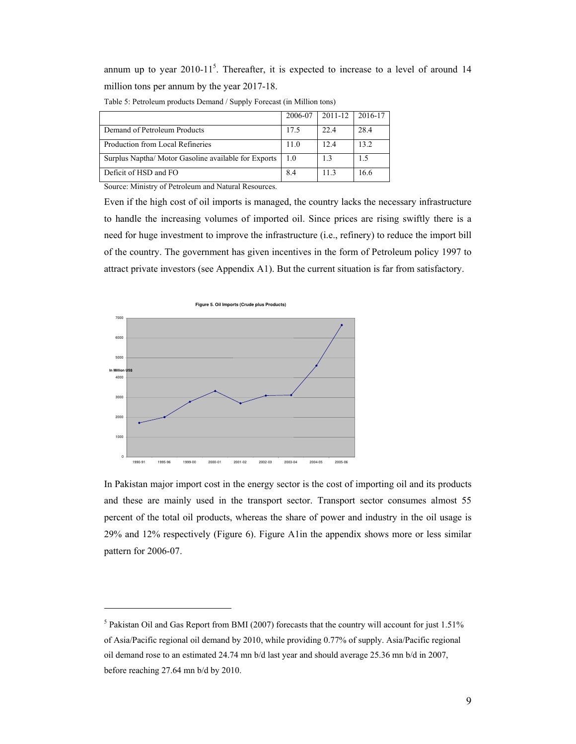annum up to year  $2010-11^5$ . Thereafter, it is expected to increase to a level of around 14 million tons per annum by the year 2017-18.

|                                                      | 2006-07 | 2011-12 | 2016-17 |
|------------------------------------------------------|---------|---------|---------|
| Demand of Petroleum Products                         | 17.5    | 22.4    | 28.4    |
| Production from Local Refineries                     | 11.0    | 12.4    | 13.2    |
| Surplus Naptha/ Motor Gasoline available for Exports | 1.0     | 1.3     | 1.5     |
| Deficit of HSD and FO                                | 8.4     | 113     | 16.6    |

Table 5: Petroleum products Demand / Supply Forecast (in Million tons)

Source: Ministry of Petroleum and Natural Resources.

 $\overline{a}$ 

Even if the high cost of oil imports is managed, the country lacks the necessary infrastructure to handle the increasing volumes of imported oil. Since prices are rising swiftly there is a need for huge investment to improve the infrastructure (i.e., refinery) to reduce the import bill of the country. The government has given incentives in the form of Petroleum policy 1997 to attract private investors (see Appendix A1). But the current situation is far from satisfactory.



In Pakistan major import cost in the energy sector is the cost of importing oil and its products and these are mainly used in the transport sector. Transport sector consumes almost 55 percent of the total oil products, whereas the share of power and industry in the oil usage is 29% and 12% respectively (Figure 6). Figure A1in the appendix shows more or less similar pattern for 2006-07.

 $<sup>5</sup>$  Pakistan Oil and Gas Report from BMI (2007) forecasts that the country will account for just 1.51%</sup> of Asia/Pacific regional oil demand by 2010, while providing 0.77% of supply. Asia/Pacific regional oil demand rose to an estimated 24.74 mn b/d last year and should average 25.36 mn b/d in 2007, before reaching 27.64 mn b/d by 2010.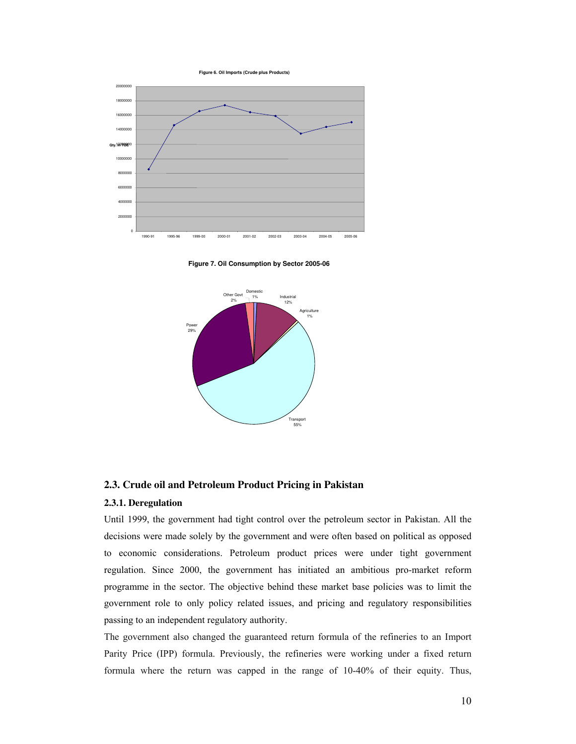**Figure 6. Oil Imports (Crude plus Products)**



**Figure 7. Oil Consumption by Sector 2005-06**



#### **2.3. Crude oil and Petroleum Product Pricing in Pakistan**

#### **2.3.1. Deregulation**

Until 1999, the government had tight control over the petroleum sector in Pakistan. All the decisions were made solely by the government and were often based on political as opposed to economic considerations. Petroleum product prices were under tight government regulation. Since 2000, the government has initiated an ambitious pro-market reform programme in the sector. The objective behind these market base policies was to limit the government role to only policy related issues, and pricing and regulatory responsibilities passing to an independent regulatory authority.

The government also changed the guaranteed return formula of the refineries to an Import Parity Price (IPP) formula. Previously, the refineries were working under a fixed return formula where the return was capped in the range of 10-40% of their equity. Thus,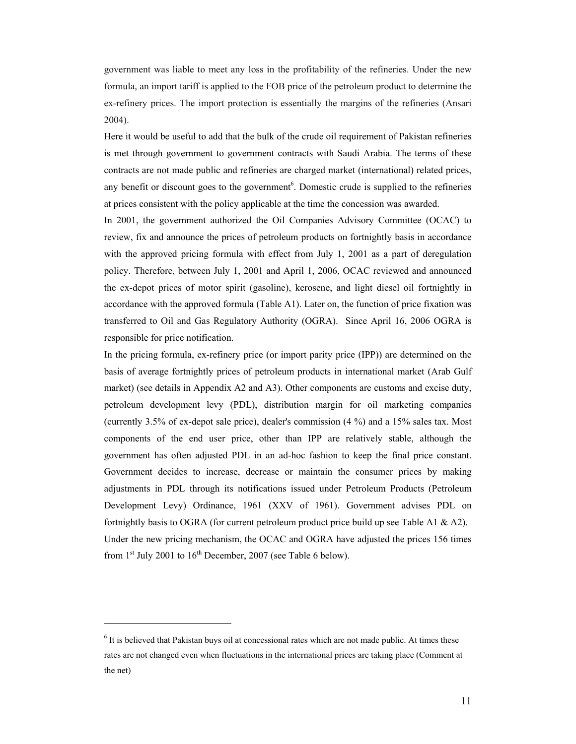government was liable to meet any loss in the profitability of the refineries. Under the new formula, an import tariff is applied to the FOB price of the petroleum product to determine the ex-refinery prices. The import protection is essentially the margins of the refineries (Ansari 2004).

Here it would be useful to add that the bulk of the crude oil requirement of Pakistan refineries is met through government to government contracts with Saudi Arabia. The terms of these contracts are not made public and refineries are charged market (international) related prices, any benefit or discount goes to the government<sup>6</sup>. Domestic crude is supplied to the refineries at prices consistent with the policy applicable at the time the concession was awarded.

In 2001, the government authorized the Oil Companies Advisory Committee (OCAC) to review, fix and announce the prices of petroleum products on fortnightly basis in accordance with the approved pricing formula with effect from July 1, 2001 as a part of deregulation policy. Therefore, between July 1, 2001 and April 1, 2006, OCAC reviewed and announced the ex-depot prices of motor spirit (gasoline), kerosene, and light diesel oil fortnightly in accordance with the approved formula (Table A1). Later on, the function of price fixation was transferred to Oil and Gas Regulatory Authority (OGRA). Since April 16, 2006 OGRA is responsible for price notification.

In the pricing formula, ex-refinery price (or import parity price (IPP)) are determined on the basis of average fortnightly prices of petroleum products in international market (Arab Gulf market) (see details in Appendix A2 and A3). Other components are customs and excise duty, petroleum development levy (PDL), distribution margin for oil marketing companies (currently 3.5% of ex-depot sale price), dealer's commission (4 %) and a 15% sales tax. Most components of the end user price, other than IPP are relatively stable, although the government has often adjusted PDL in an ad-hoc fashion to keep the final price constant. Government decides to increase, decrease or maintain the consumer prices by making adjustments in PDL through its notifications issued under Petroleum Products (Petroleum Development Levy) Ordinance, 1961 (XXV of 1961). Government advises PDL on fortnightly basis to OGRA (for current petroleum product price build up see Table A1 & A2). Under the new pricing mechanism, the OCAC and OGRA have adjusted the prices 156 times from  $1<sup>st</sup>$  July 2001 to  $16<sup>th</sup>$  December, 2007 (see Table 6 below).

 $<sup>6</sup>$  It is believed that Pakistan buys oil at concessional rates which are not made public. At times these</sup> rates are not changed even when fluctuations in the international prices are taking place (Comment at the net)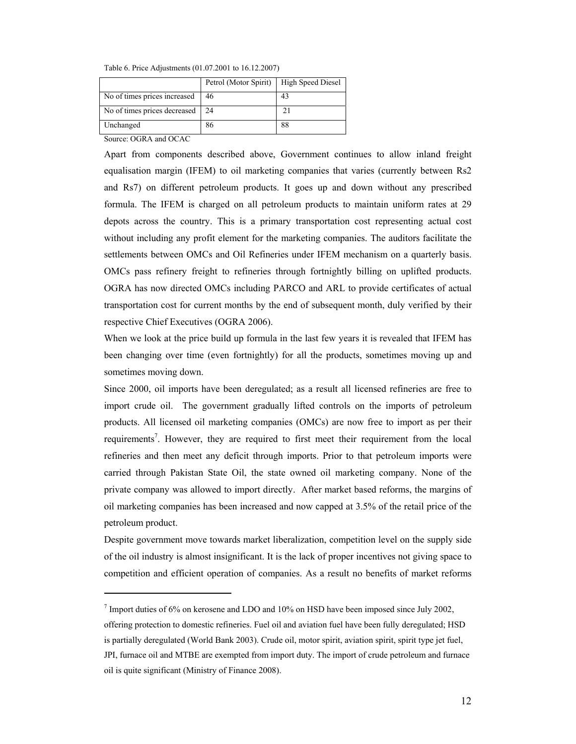Table 6. Price Adjustments (01.07.2001 to 16.12.2007)

|                              | Petrol (Motor Spirit) | High Speed Diesel |
|------------------------------|-----------------------|-------------------|
| No of times prices increased | 46                    | 43                |
| No of times prices decreased | 24                    |                   |
| Unchanged                    | 86                    | 88                |

Source: OGRA and OCAC

 $\overline{a}$ 

Apart from components described above, Government continues to allow inland freight equalisation margin (IFEM) to oil marketing companies that varies (currently between Rs2 and Rs7) on different petroleum products. It goes up and down without any prescribed formula. The IFEM is charged on all petroleum products to maintain uniform rates at 29 depots across the country. This is a primary transportation cost representing actual cost without including any profit element for the marketing companies. The auditors facilitate the settlements between OMCs and Oil Refineries under IFEM mechanism on a quarterly basis. OMCs pass refinery freight to refineries through fortnightly billing on uplifted products. OGRA has now directed OMCs including PARCO and ARL to provide certificates of actual transportation cost for current months by the end of subsequent month, duly verified by their respective Chief Executives (OGRA 2006).

When we look at the price build up formula in the last few years it is revealed that IFEM has been changing over time (even fortnightly) for all the products, sometimes moving up and sometimes moving down.

Since 2000, oil imports have been deregulated; as a result all licensed refineries are free to import crude oil. The government gradually lifted controls on the imports of petroleum products. All licensed oil marketing companies (OMCs) are now free to import as per their requirements<sup>7</sup>. However, they are required to first meet their requirement from the local refineries and then meet any deficit through imports. Prior to that petroleum imports were carried through Pakistan State Oil, the state owned oil marketing company. None of the private company was allowed to import directly. After market based reforms, the margins of oil marketing companies has been increased and now capped at 3.5% of the retail price of the petroleum product.

Despite government move towards market liberalization, competition level on the supply side of the oil industry is almost insignificant. It is the lack of proper incentives not giving space to competition and efficient operation of companies. As a result no benefits of market reforms

 $7$  Import duties of 6% on kerosene and LDO and 10% on HSD have been imposed since July 2002,

offering protection to domestic refineries. Fuel oil and aviation fuel have been fully deregulated; HSD is partially deregulated (World Bank 2003). Crude oil, motor spirit, aviation spirit, spirit type jet fuel, JPI, furnace oil and MTBE are exempted from import duty. The import of crude petroleum and furnace oil is quite significant (Ministry of Finance 2008).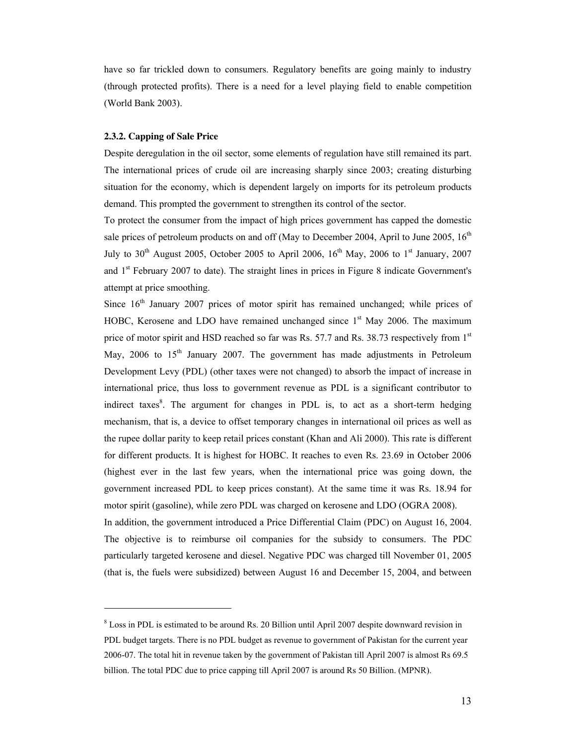have so far trickled down to consumers. Regulatory benefits are going mainly to industry (through protected profits). There is a need for a level playing field to enable competition (World Bank 2003).

#### **2.3.2. Capping of Sale Price**

 $\overline{a}$ 

Despite deregulation in the oil sector, some elements of regulation have still remained its part. The international prices of crude oil are increasing sharply since 2003; creating disturbing situation for the economy, which is dependent largely on imports for its petroleum products demand. This prompted the government to strengthen its control of the sector.

To protect the consumer from the impact of high prices government has capped the domestic sale prices of petroleum products on and off (May to December 2004, April to June 2005,  $16<sup>th</sup>$ July to  $30<sup>th</sup>$  August 2005, October 2005 to April 2006,  $16<sup>th</sup>$  May, 2006 to  $1<sup>st</sup>$  January, 2007 and 1<sup>st</sup> February 2007 to date). The straight lines in prices in Figure 8 indicate Government's attempt at price smoothing.

Since  $16<sup>th</sup>$  January 2007 prices of motor spirit has remained unchanged; while prices of HOBC, Kerosene and LDO have remained unchanged since  $1<sup>st</sup>$  May 2006. The maximum price of motor spirit and HSD reached so far was Rs. 57.7 and Rs. 38.73 respectively from  $1<sup>st</sup>$ May,  $2006$  to  $15<sup>th</sup>$  January 2007. The government has made adjustments in Petroleum Development Levy (PDL) (other taxes were not changed) to absorb the impact of increase in international price, thus loss to government revenue as PDL is a significant contributor to indirect taxes<sup>8</sup>. The argument for changes in PDL is, to act as a short-term hedging mechanism, that is, a device to offset temporary changes in international oil prices as well as the rupee dollar parity to keep retail prices constant (Khan and Ali 2000). This rate is different for different products. It is highest for HOBC. It reaches to even Rs. 23.69 in October 2006 (highest ever in the last few years, when the international price was going down, the government increased PDL to keep prices constant). At the same time it was Rs. 18.94 for motor spirit (gasoline), while zero PDL was charged on kerosene and LDO (OGRA 2008). In addition, the government introduced a Price Differential Claim (PDC) on August 16, 2004.

The objective is to reimburse oil companies for the subsidy to consumers. The PDC particularly targeted kerosene and diesel. Negative PDC was charged till November 01, 2005 (that is, the fuels were subsidized) between August 16 and December 15, 2004, and between

<sup>&</sup>lt;sup>8</sup> Loss in PDL is estimated to be around Rs. 20 Billion until April 2007 despite downward revision in PDL budget targets. There is no PDL budget as revenue to government of Pakistan for the current year 2006-07. The total hit in revenue taken by the government of Pakistan till April 2007 is almost Rs 69.5 billion. The total PDC due to price capping till April 2007 is around Rs 50 Billion. (MPNR).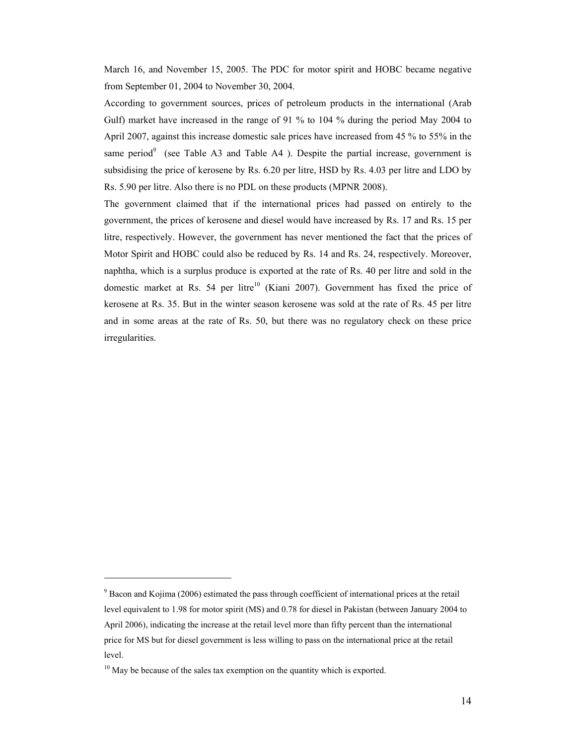March 16, and November 15, 2005. The PDC for motor spirit and HOBC became negative from September 01, 2004 to November 30, 2004.

According to government sources, prices of petroleum products in the international (Arab Gulf) market have increased in the range of 91 % to 104 % during the period May 2004 to April 2007, against this increase domestic sale prices have increased from 45 % to 55% in the same period<sup>9</sup> (see Table A3 and Table A4). Despite the partial increase, government is subsidising the price of kerosene by Rs. 6.20 per litre, HSD by Rs. 4.03 per litre and LDO by Rs. 5.90 per litre. Also there is no PDL on these products (MPNR 2008).

The government claimed that if the international prices had passed on entirely to the government, the prices of kerosene and diesel would have increased by Rs. 17 and Rs. 15 per litre, respectively. However, the government has never mentioned the fact that the prices of Motor Spirit and HOBC could also be reduced by Rs. 14 and Rs. 24, respectively. Moreover, naphtha, which is a surplus produce is exported at the rate of Rs. 40 per litre and sold in the domestic market at Rs. 54 per litre<sup>10</sup> (Kiani 2007). Government has fixed the price of kerosene at Rs. 35. But in the winter season kerosene was sold at the rate of Rs. 45 per litre and in some areas at the rate of Rs. 50, but there was no regulatory check on these price irregularities.

<sup>&</sup>lt;sup>9</sup> Bacon and Kojima (2006) estimated the pass through coefficient of international prices at the retail level equivalent to 1.98 for motor spirit (MS) and 0.78 for diesel in Pakistan (between January 2004 to April 2006), indicating the increase at the retail level more than fifty percent than the international price for MS but for diesel government is less willing to pass on the international price at the retail level.

<sup>&</sup>lt;sup>10</sup> May be because of the sales tax exemption on the quantity which is exported.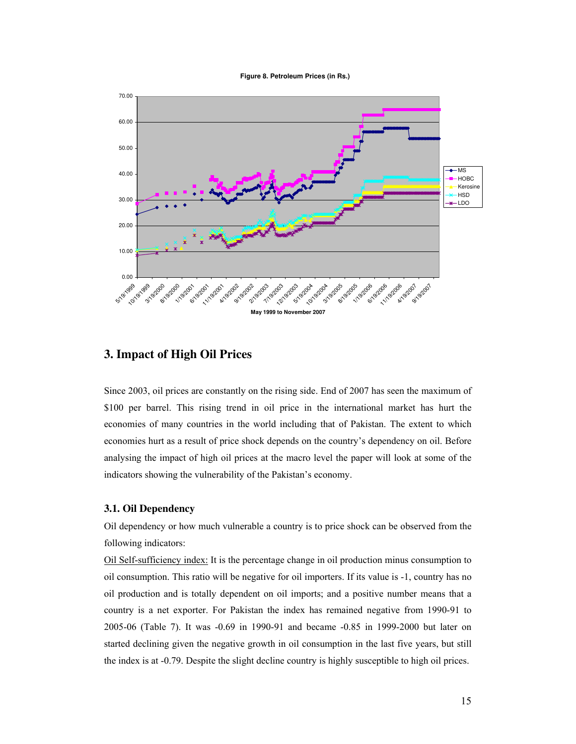**Figure 8. Petroleum Prices (in Rs.)**



## **3. Impact of High Oil Prices**

Since 2003, oil prices are constantly on the rising side. End of 2007 has seen the maximum of \$100 per barrel. This rising trend in oil price in the international market has hurt the economies of many countries in the world including that of Pakistan. The extent to which economies hurt as a result of price shock depends on the country's dependency on oil. Before analysing the impact of high oil prices at the macro level the paper will look at some of the indicators showing the vulnerability of the Pakistan's economy.

## **3.1. Oil Dependency**

Oil dependency or how much vulnerable a country is to price shock can be observed from the following indicators:

Oil Self-sufficiency index: It is the percentage change in oil production minus consumption to oil consumption. This ratio will be negative for oil importers. If its value is -1, country has no oil production and is totally dependent on oil imports; and a positive number means that a country is a net exporter. For Pakistan the index has remained negative from 1990-91 to 2005-06 (Table 7). It was -0.69 in 1990-91 and became -0.85 in 1999-2000 but later on started declining given the negative growth in oil consumption in the last five years, but still the index is at -0.79. Despite the slight decline country is highly susceptible to high oil prices.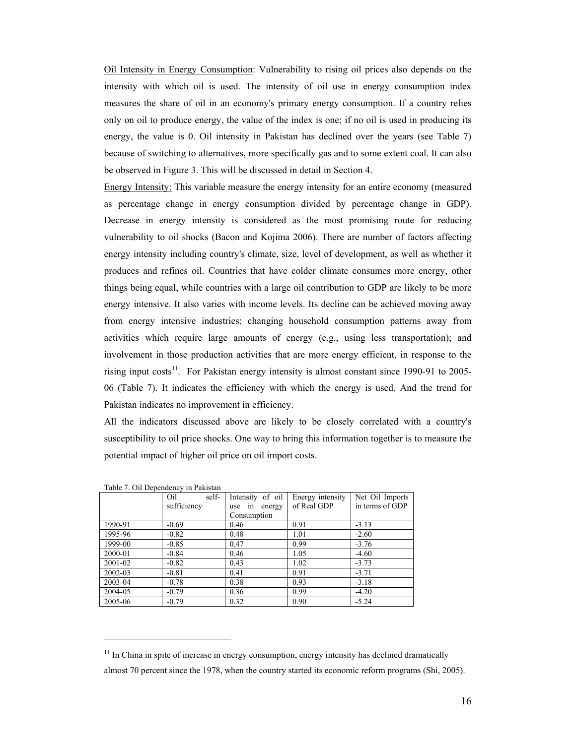Oil Intensity in Energy Consumption: Vulnerability to rising oil prices also depends on the intensity with which oil is used. The intensity of oil use in energy consumption index measures the share of oil in an economy's primary energy consumption. If a country relies only on oil to produce energy, the value of the index is one; if no oil is used in producing its energy, the value is 0. Oil intensity in Pakistan has declined over the years (see Table 7) because of switching to alternatives, more specifically gas and to some extent coal. It can also be observed in Figure 3. This will be discussed in detail in Section 4.

Energy Intensity: This variable measure the energy intensity for an entire economy (measured as percentage change in energy consumption divided by percentage change in GDP). Decrease in energy intensity is considered as the most promising route for reducing vulnerability to oil shocks (Bacon and Kojima 2006). There are number of factors affecting energy intensity including country's climate, size, level of development, as well as whether it produces and refines oil. Countries that have colder climate consumes more energy, other things being equal, while countries with a large oil contribution to GDP are likely to be more energy intensive. It also varies with income levels. Its decline can be achieved moving away from energy intensive industries; changing household consumption patterns away from activities which require large amounts of energy (e.g., using less transportation); and involvement in those production activities that are more energy efficient, in response to the rising input costs<sup>11</sup>. For Pakistan energy intensity is almost constant since 1990-91 to 2005-06 (Table 7). It indicates the efficiency with which the energy is used. And the trend for Pakistan indicates no improvement in efficiency.

All the indicators discussed above are likely to be closely correlated with a country's susceptibility to oil price shocks. One way to bring this information together is to measure the potential impact of higher oil price on oil import costs.

|         | $14010$ . On Dependence $\frac{1}{111}$ and $\frac{1}{111}$ |                  |                  |                 |
|---------|-------------------------------------------------------------|------------------|------------------|-----------------|
|         | self-<br>Oil                                                | Intensity of oil | Energy intensity | Net Oil Imports |
|         | sufficiency                                                 | use in energy    | of Real GDP      | in terms of GDP |
|         |                                                             | Consumption      |                  |                 |
| 1990-91 | $-0.69$                                                     | 0.46             | 0.91             | $-3.13$         |
| 1995-96 | $-0.82$                                                     | 0.48             | 1.01             | $-2.60$         |
| 1999-00 | $-0.85$                                                     | 0.47             | 0.99             | $-3.76$         |
| 2000-01 | $-0.84$                                                     | 0.46             | 1.05             | $-4.60$         |
| 2001-02 | $-0.82$                                                     | 0.43             | 1.02             | $-3.73$         |
| 2002-03 | $-0.81$                                                     | 0.41             | 0.91             | $-3.71$         |
| 2003-04 | $-0.78$                                                     | 0.38             | 0.93             | $-3.18$         |
| 2004-05 | $-0.79$                                                     | 0.36             | 0.99             | $-4.20$         |
| 2005-06 | $-0.79$                                                     | 0.32             | 0.90             | $-5.24$         |

Table 7. Oil Dependency in Pakistan

 $<sup>11</sup>$  In China in spite of increase in energy consumption, energy intensity has declined dramatically</sup>

almost 70 percent since the 1978, when the country started its economic reform programs (Shi, 2005).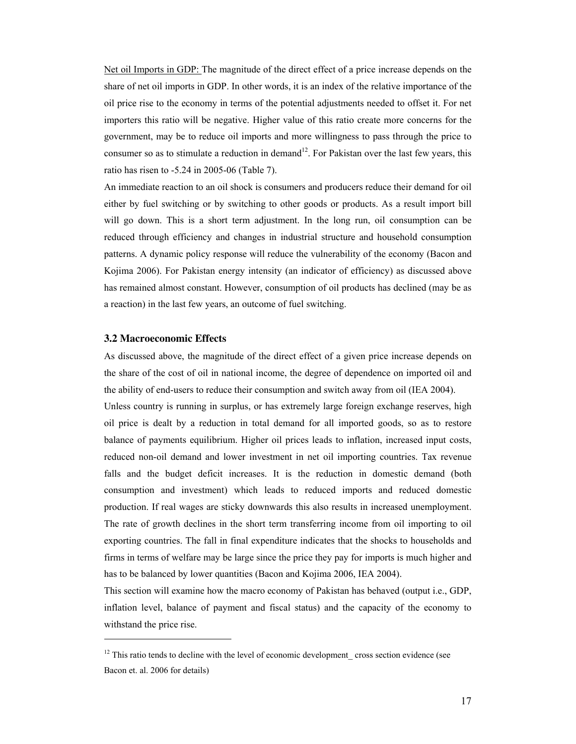Net oil Imports in GDP: The magnitude of the direct effect of a price increase depends on the share of net oil imports in GDP. In other words, it is an index of the relative importance of the oil price rise to the economy in terms of the potential adjustments needed to offset it. For net importers this ratio will be negative. Higher value of this ratio create more concerns for the government, may be to reduce oil imports and more willingness to pass through the price to consumer so as to stimulate a reduction in demand<sup>12</sup>. For Pakistan over the last few years, this ratio has risen to -5.24 in 2005-06 (Table 7).

An immediate reaction to an oil shock is consumers and producers reduce their demand for oil either by fuel switching or by switching to other goods or products. As a result import bill will go down. This is a short term adjustment. In the long run, oil consumption can be reduced through efficiency and changes in industrial structure and household consumption patterns. A dynamic policy response will reduce the vulnerability of the economy (Bacon and Kojima 2006). For Pakistan energy intensity (an indicator of efficiency) as discussed above has remained almost constant. However, consumption of oil products has declined (may be as a reaction) in the last few years, an outcome of fuel switching.

### **3.2 Macroeconomic Effects**

 $\overline{a}$ 

As discussed above, the magnitude of the direct effect of a given price increase depends on the share of the cost of oil in national income, the degree of dependence on imported oil and the ability of end-users to reduce their consumption and switch away from oil (IEA 2004).

Unless country is running in surplus, or has extremely large foreign exchange reserves, high oil price is dealt by a reduction in total demand for all imported goods, so as to restore balance of payments equilibrium. Higher oil prices leads to inflation, increased input costs, reduced non-oil demand and lower investment in net oil importing countries. Tax revenue falls and the budget deficit increases. It is the reduction in domestic demand (both consumption and investment) which leads to reduced imports and reduced domestic production. If real wages are sticky downwards this also results in increased unemployment. The rate of growth declines in the short term transferring income from oil importing to oil exporting countries. The fall in final expenditure indicates that the shocks to households and firms in terms of welfare may be large since the price they pay for imports is much higher and has to be balanced by lower quantities (Bacon and Kojima 2006, IEA 2004).

This section will examine how the macro economy of Pakistan has behaved (output i.e., GDP, inflation level, balance of payment and fiscal status) and the capacity of the economy to withstand the price rise.

<sup>&</sup>lt;sup>12</sup> This ratio tends to decline with the level of economic development\_ cross section evidence (see Bacon et. al. 2006 for details)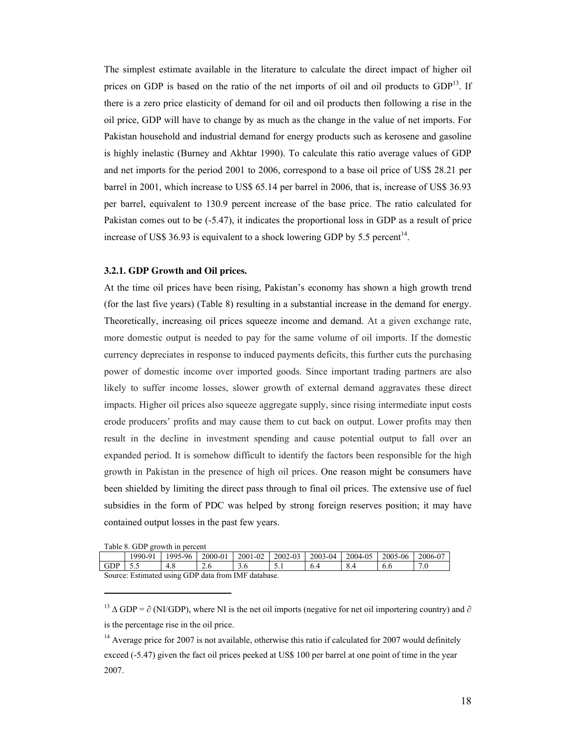The simplest estimate available in the literature to calculate the direct impact of higher oil prices on GDP is based on the ratio of the net imports of oil and oil products to  $GDP<sup>13</sup>$ . If there is a zero price elasticity of demand for oil and oil products then following a rise in the oil price, GDP will have to change by as much as the change in the value of net imports. For Pakistan household and industrial demand for energy products such as kerosene and gasoline is highly inelastic (Burney and Akhtar 1990). To calculate this ratio average values of GDP and net imports for the period 2001 to 2006, correspond to a base oil price of US\$ 28.21 per barrel in 2001, which increase to US\$ 65.14 per barrel in 2006, that is, increase of US\$ 36.93 per barrel, equivalent to 130.9 percent increase of the base price. The ratio calculated for Pakistan comes out to be (-5.47), it indicates the proportional loss in GDP as a result of price increase of US\$ 36.93 is equivalent to a shock lowering GDP by 5.5 percent<sup>14</sup>.

#### **3.2.1. GDP Growth and Oil prices.**

At the time oil prices have been rising, Pakistan's economy has shown a high growth trend (for the last five years) (Table 8) resulting in a substantial increase in the demand for energy. Theoretically, increasing oil prices squeeze income and demand. At a given exchange rate, more domestic output is needed to pay for the same volume of oil imports. If the domestic currency depreciates in response to induced payments deficits, this further cuts the purchasing power of domestic income over imported goods. Since important trading partners are also likely to suffer income losses, slower growth of external demand aggravates these direct impacts. Higher oil prices also squeeze aggregate supply, since rising intermediate input costs erode producers' profits and may cause them to cut back on output. Lower profits may then result in the decline in investment spending and cause potential output to fall over an expanded period. It is somehow difficult to identify the factors been responsible for the high growth in Pakistan in the presence of high oil prices. One reason might be consumers have been shielded by limiting the direct pass through to final oil prices. The extensive use of fuel subsidies in the form of PDC was helped by strong foreign reserves position; it may have contained output losses in the past few years.

| Table 8. GDP growth in percent |  |  |  |  |  |  |
|--------------------------------|--|--|--|--|--|--|
|--------------------------------|--|--|--|--|--|--|

 $\overline{a}$ 

|     | 1990-91                                             | 1995-96 | 2000-01 | 2001-02 | $2002 - 03$ | $2003 - 04$ | 2004-05 | 2005-06 | 2006-07 |
|-----|-----------------------------------------------------|---------|---------|---------|-------------|-------------|---------|---------|---------|
| GDP | 55                                                  | 4.8     |         |         |             |             |         | 6.6     | 7.0     |
|     | Source: Estimated using GDP data from IMF database. |         |         |         |             |             |         |         |         |

<sup>13</sup> ∆ GDP =  $\partial$  (NI/GDP), where NI is the net oil imports (negative for net oil importering country) and  $\partial$ is the percentage rise in the oil price.

<sup>14</sup> Average price for 2007 is not available, otherwise this ratio if calculated for 2007 would definitely exceed (-5.47) given the fact oil prices peeked at US\$ 100 per barrel at one point of time in the year 2007.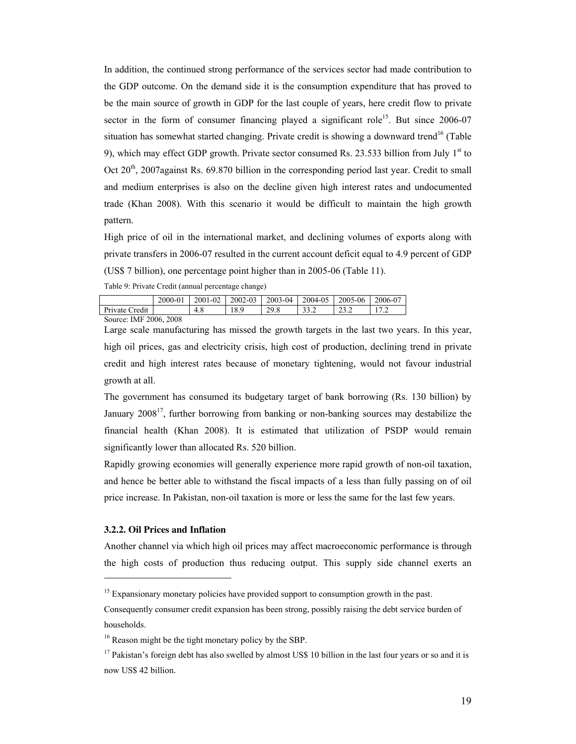In addition, the continued strong performance of the services sector had made contribution to the GDP outcome. On the demand side it is the consumption expenditure that has proved to be the main source of growth in GDP for the last couple of years, here credit flow to private sector in the form of consumer financing played a significant role<sup>15</sup>. But since  $2006-07$ situation has somewhat started changing. Private credit is showing a downward trend<sup>16</sup> (Table 9), which may effect GDP growth. Private sector consumed Rs. 23.533 billion from July  $1<sup>st</sup>$  to Oct 20<sup>th</sup>, 2007against Rs. 69.870 billion in the corresponding period last year. Credit to small and medium enterprises is also on the decline given high interest rates and undocumented trade (Khan 2008). With this scenario it would be difficult to maintain the high growth pattern.

High price of oil in the international market, and declining volumes of exports along with private transfers in 2006-07 resulted in the current account deficit equal to 4.9 percent of GDP (US\$ 7 billion), one percentage point higher than in 2005-06 (Table 11).

Table 9: Private Credit (annual percentage change)

|                                           | 2000-01 | 2001-02 | 2002-03 | 2003-04 | 2004-05 | 2005-06            | 2006-07 |  |
|-------------------------------------------|---------|---------|---------|---------|---------|--------------------|---------|--|
| Private Credit                            |         | 4.8     | 18.9    | 20 S    | ے ۔ ۔   | າາ າ<br>. <i>.</i> |         |  |
| $0 \rightarrow 0$ . THE 000 $\ell$<br>റററ |         |         |         |         |         |                    |         |  |

Source: IMF 2006, 2008

Large scale manufacturing has missed the growth targets in the last two years. In this year, high oil prices, gas and electricity crisis, high cost of production, declining trend in private credit and high interest rates because of monetary tightening, would not favour industrial growth at all.

The government has consumed its budgetary target of bank borrowing (Rs. 130 billion) by January  $2008<sup>17</sup>$ , further borrowing from banking or non-banking sources may destabilize the financial health (Khan 2008). It is estimated that utilization of PSDP would remain significantly lower than allocated Rs. 520 billion.

Rapidly growing economies will generally experience more rapid growth of non-oil taxation, and hence be better able to withstand the fiscal impacts of a less than fully passing on of oil price increase. In Pakistan, non-oil taxation is more or less the same for the last few years.

#### **3.2.2. Oil Prices and Inflation**

 $\overline{a}$ 

Another channel via which high oil prices may affect macroeconomic performance is through the high costs of production thus reducing output. This supply side channel exerts an

<sup>&</sup>lt;sup>15</sup> Expansionary monetary policies have provided support to consumption growth in the past.

Consequently consumer credit expansion has been strong, possibly raising the debt service burden of households.

<sup>&</sup>lt;sup>16</sup> Reason might be the tight monetary policy by the SBP.

<sup>&</sup>lt;sup>17</sup> Pakistan's foreign debt has also swelled by almost US\$ 10 billion in the last four years or so and it is now US\$ 42 billion.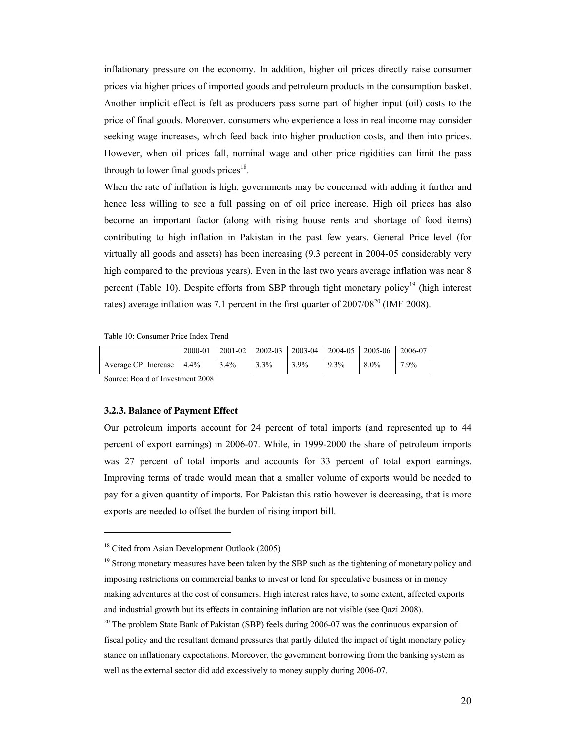inflationary pressure on the economy. In addition, higher oil prices directly raise consumer prices via higher prices of imported goods and petroleum products in the consumption basket. Another implicit effect is felt as producers pass some part of higher input (oil) costs to the price of final goods. Moreover, consumers who experience a loss in real income may consider seeking wage increases, which feed back into higher production costs, and then into prices. However, when oil prices fall, nominal wage and other price rigidities can limit the pass through to lower final goods prices<sup>18</sup>.

When the rate of inflation is high, governments may be concerned with adding it further and hence less willing to see a full passing on of oil price increase. High oil prices has also become an important factor (along with rising house rents and shortage of food items) contributing to high inflation in Pakistan in the past few years. General Price level (for virtually all goods and assets) has been increasing (9.3 percent in 2004-05 considerably very high compared to the previous years). Even in the last two years average inflation was near 8 percent (Table 10). Despite efforts from SBP through tight monetary policy<sup>19</sup> (high interest rates) average inflation was 7.1 percent in the first quarter of  $2007/08^{20}$  (IMF 2008).

Table 10: Consumer Price Index Trend

|                                  | 2000-01 |         |      |      | 2001-02   2002-03   2003-04   2004-05   2005-06 |         | 2006-07 |  |  |  |
|----------------------------------|---------|---------|------|------|-------------------------------------------------|---------|---------|--|--|--|
| Average CPI Increase             | $4.4\%$ | $3.4\%$ | 3.3% | 3.9% | 9.3%                                            | $8.0\%$ | 7.9%    |  |  |  |
| Source: Board of Investment 2008 |         |         |      |      |                                                 |         |         |  |  |  |

Source: Board of Investment 2008

 $\overline{a}$ 

#### **3.2.3. Balance of Payment Effect**

Our petroleum imports account for 24 percent of total imports (and represented up to 44 percent of export earnings) in 2006-07. While, in 1999-2000 the share of petroleum imports was 27 percent of total imports and accounts for 33 percent of total export earnings. Improving terms of trade would mean that a smaller volume of exports would be needed to pay for a given quantity of imports. For Pakistan this ratio however is decreasing, that is more exports are needed to offset the burden of rising import bill.

<sup>&</sup>lt;sup>18</sup> Cited from Asian Development Outlook (2005)

<sup>&</sup>lt;sup>19</sup> Strong monetary measures have been taken by the SBP such as the tightening of monetary policy and imposing restrictions on commercial banks to invest or lend for speculative business or in money making adventures at the cost of consumers. High interest rates have, to some extent, affected exports and industrial growth but its effects in containing inflation are not visible (see Qazi 2008).

<sup>&</sup>lt;sup>20</sup> The problem State Bank of Pakistan (SBP) feels during 2006-07 was the continuous expansion of fiscal policy and the resultant demand pressures that partly diluted the impact of tight monetary policy stance on inflationary expectations. Moreover, the government borrowing from the banking system as well as the external sector did add excessively to money supply during 2006-07.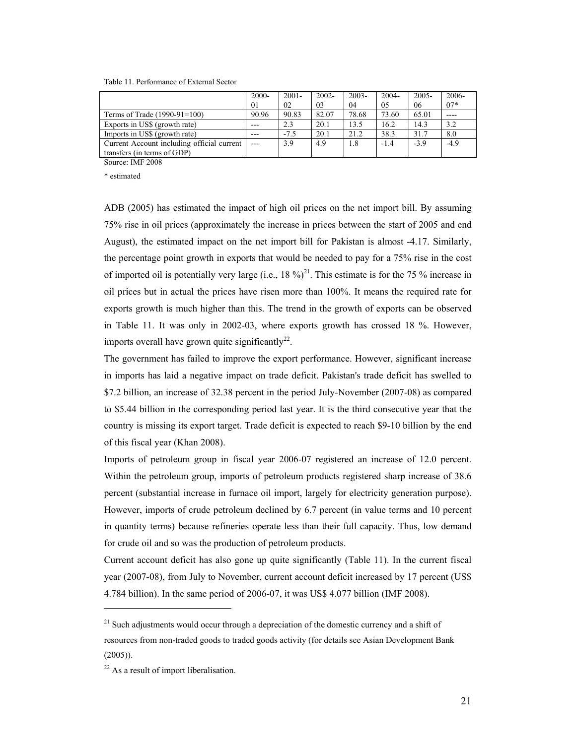Table 11. Performance of External Sector

|                                            | $2000 -$ | $2001 -$ | $2002 -$ | $2003 -$ | 2004-  | $2005 -$ | $2006 -$ |
|--------------------------------------------|----------|----------|----------|----------|--------|----------|----------|
|                                            | 01       | 02       | 03       | 04       | 05     | 06       | $07*$    |
| Terms of Trade (1990-91=100)               | 90.96    | 90.83    | 82.07    | 78.68    | 73.60  | 65.01    |          |
| Exports in US\$ (growth rate)              | $---$    | 2.3      | 20.1     | 13.5     | 16.2   | 14.3     | 3.2      |
| Imports in US\$ (growth rate)              | $---$    | $-7.5$   | 20.1     | 21.2     | 38.3   | 31.7     | 8.0      |
| Current Account including official current |          | 3.9      | 4.9      | 1.8      | $-1.4$ | $-3.9$   | $-4.9$   |
| transfers (in terms of GDP)                |          |          |          |          |        |          |          |

Source: IMF 2008

\* estimated

ADB (2005) has estimated the impact of high oil prices on the net import bill. By assuming 75% rise in oil prices (approximately the increase in prices between the start of 2005 and end August), the estimated impact on the net import bill for Pakistan is almost -4.17. Similarly, the percentage point growth in exports that would be needed to pay for a 75% rise in the cost of imported oil is potentially very large (i.e.,  $18\%$ )<sup>21</sup>. This estimate is for the 75 % increase in oil prices but in actual the prices have risen more than 100%. It means the required rate for exports growth is much higher than this. The trend in the growth of exports can be observed in Table 11. It was only in 2002-03, where exports growth has crossed 18 %. However, imports overall have grown quite significantly<sup>22</sup>.

The government has failed to improve the export performance. However, significant increase in imports has laid a negative impact on trade deficit. Pakistan's trade deficit has swelled to \$7.2 billion, an increase of 32.38 percent in the period July-November (2007-08) as compared to \$5.44 billion in the corresponding period last year. It is the third consecutive year that the country is missing its export target. Trade deficit is expected to reach \$9-10 billion by the end of this fiscal year (Khan 2008).

Imports of petroleum group in fiscal year 2006-07 registered an increase of 12.0 percent. Within the petroleum group, imports of petroleum products registered sharp increase of 38.6 percent (substantial increase in furnace oil import, largely for electricity generation purpose). However, imports of crude petroleum declined by 6.7 percent (in value terms and 10 percent in quantity terms) because refineries operate less than their full capacity. Thus, low demand for crude oil and so was the production of petroleum products.

Current account deficit has also gone up quite significantly (Table 11). In the current fiscal year (2007-08), from July to November, current account deficit increased by 17 percent (US\$ 4.784 billion). In the same period of 2006-07, it was US\$ 4.077 billion (IMF 2008).

 $21$  Such adjustments would occur through a depreciation of the domestic currency and a shift of resources from non-traded goods to traded goods activity (for details see Asian Development Bank (2005)).

 $22$  As a result of import liberalisation.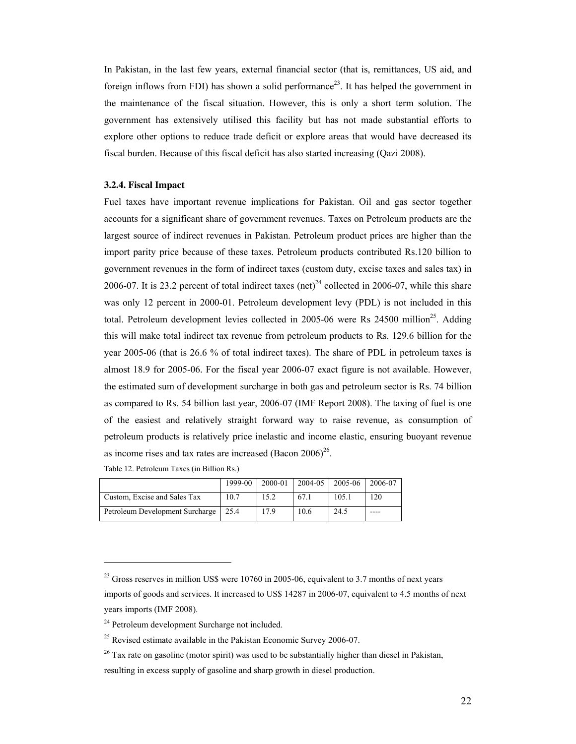In Pakistan, in the last few years, external financial sector (that is, remittances, US aid, and foreign inflows from FDI) has shown a solid performance<sup>23</sup>. It has helped the government in the maintenance of the fiscal situation. However, this is only a short term solution. The government has extensively utilised this facility but has not made substantial efforts to explore other options to reduce trade deficit or explore areas that would have decreased its fiscal burden. Because of this fiscal deficit has also started increasing (Qazi 2008).

### **3.2.4. Fiscal Impact**

Fuel taxes have important revenue implications for Pakistan. Oil and gas sector together accounts for a significant share of government revenues. Taxes on Petroleum products are the largest source of indirect revenues in Pakistan. Petroleum product prices are higher than the import parity price because of these taxes. Petroleum products contributed Rs.120 billion to government revenues in the form of indirect taxes (custom duty, excise taxes and sales tax) in 2006-07. It is 23.2 percent of total indirect taxes (net)<sup>24</sup> collected in 2006-07, while this share was only 12 percent in 2000-01. Petroleum development levy (PDL) is not included in this total. Petroleum development levies collected in  $2005-06$  were Rs  $24500$  million<sup>25</sup>. Adding this will make total indirect tax revenue from petroleum products to Rs. 129.6 billion for the year 2005-06 (that is 26.6 % of total indirect taxes). The share of PDL in petroleum taxes is almost 18.9 for 2005-06. For the fiscal year 2006-07 exact figure is not available. However, the estimated sum of development surcharge in both gas and petroleum sector is Rs. 74 billion as compared to Rs. 54 billion last year, 2006-07 (IMF Report 2008). The taxing of fuel is one of the easiest and relatively straight forward way to raise revenue, as consumption of petroleum products is relatively price inelastic and income elastic, ensuring buoyant revenue as income rises and tax rates are increased  $(Bacon\ 2006)^{26}$ .

| Table 12. Petroleum Taxes (in Billion Rs.) |  |
|--------------------------------------------|--|
|--------------------------------------------|--|

|                                 | 1999-00 | 2000-01 | $2004 - 05$ | 2005-06 | 2006-07 |
|---------------------------------|---------|---------|-------------|---------|---------|
| Custom, Excise and Sales Tax    | 10.7    | 15.2    | 67.1        | 105.1   | 120     |
| Petroleum Development Surcharge | 25.4    | 17.9    | 10.6        | 24.5    | ----    |

 $^{23}$  Gross reserves in million US\$ were 10760 in 2005-06, equivalent to 3.7 months of next years imports of goods and services. It increased to US\$ 14287 in 2006-07, equivalent to 4.5 months of next years imports (IMF 2008).

<sup>&</sup>lt;sup>24</sup> Petroleum development Surcharge not included.

 $25$  Revised estimate available in the Pakistan Economic Survey 2006-07.

 $26$  Tax rate on gasoline (motor spirit) was used to be substantially higher than diesel in Pakistan,

resulting in excess supply of gasoline and sharp growth in diesel production.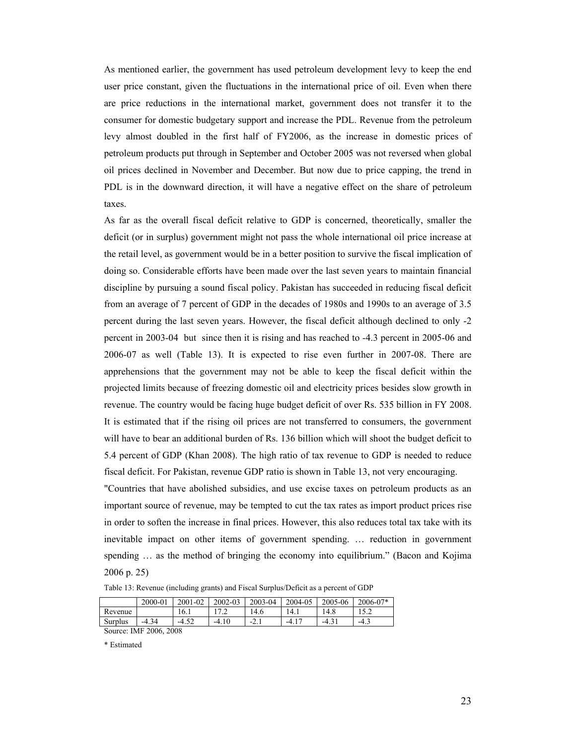As mentioned earlier, the government has used petroleum development levy to keep the end user price constant, given the fluctuations in the international price of oil. Even when there are price reductions in the international market, government does not transfer it to the consumer for domestic budgetary support and increase the PDL. Revenue from the petroleum levy almost doubled in the first half of FY2006, as the increase in domestic prices of petroleum products put through in September and October 2005 was not reversed when global oil prices declined in November and December. But now due to price capping, the trend in PDL is in the downward direction, it will have a negative effect on the share of petroleum taxes.

As far as the overall fiscal deficit relative to GDP is concerned, theoretically, smaller the deficit (or in surplus) government might not pass the whole international oil price increase at the retail level, as government would be in a better position to survive the fiscal implication of doing so. Considerable efforts have been made over the last seven years to maintain financial discipline by pursuing a sound fiscal policy. Pakistan has succeeded in reducing fiscal deficit from an average of 7 percent of GDP in the decades of 1980s and 1990s to an average of 3.5 percent during the last seven years. However, the fiscal deficit although declined to only -2 percent in 2003-04 but since then it is rising and has reached to -4.3 percent in 2005-06 and 2006-07 as well (Table 13). It is expected to rise even further in 2007-08. There are apprehensions that the government may not be able to keep the fiscal deficit within the projected limits because of freezing domestic oil and electricity prices besides slow growth in revenue. The country would be facing huge budget deficit of over Rs. 535 billion in FY 2008. It is estimated that if the rising oil prices are not transferred to consumers, the government will have to bear an additional burden of Rs. 136 billion which will shoot the budget deficit to 5.4 percent of GDP (Khan 2008). The high ratio of tax revenue to GDP is needed to reduce fiscal deficit. For Pakistan, revenue GDP ratio is shown in Table 13, not very encouraging.

"Countries that have abolished subsidies, and use excise taxes on petroleum products as an important source of revenue, may be tempted to cut the tax rates as import product prices rise in order to soften the increase in final prices. However, this also reduces total tax take with its inevitable impact on other items of government spending. … reduction in government spending  $\ldots$  as the method of bringing the economy into equilibrium." (Bacon and Kojima 2006 p. 25)

Table 13: Revenue (including grants) and Fiscal Surplus/Deficit as a percent of GDP

|                        | 2000-01 | 2001-02 | 2002-03 | 2003-04 | 2004-05             | 2005-06 | $2006 - 07*$ |
|------------------------|---------|---------|---------|---------|---------------------|---------|--------------|
| Revenue                |         | 16.1    |         | 14.6    | 14.1                | 14.8    |              |
| Surplus                | $-4.34$ | $-4.52$ | $-4.10$ | $-2.1$  | $-4.1$ <sup>-</sup> | $-4.31$ | $-4.3$       |
| Source: IMF 2006, 2008 |         |         |         |         |                     |         |              |

\* Estimated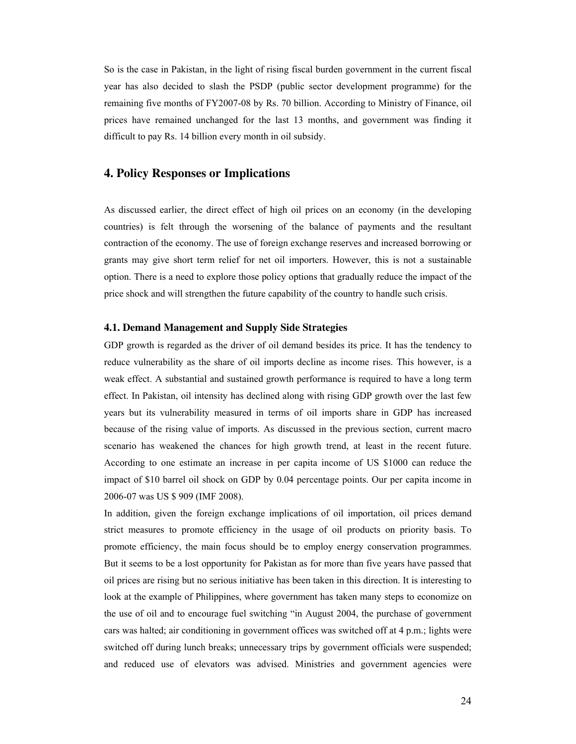So is the case in Pakistan, in the light of rising fiscal burden government in the current fiscal year has also decided to slash the PSDP (public sector development programme) for the remaining five months of FY2007-08 by Rs. 70 billion. According to Ministry of Finance, oil prices have remained unchanged for the last 13 months, and government was finding it difficult to pay Rs. 14 billion every month in oil subsidy.

## **4. Policy Responses or Implications**

As discussed earlier, the direct effect of high oil prices on an economy (in the developing countries) is felt through the worsening of the balance of payments and the resultant contraction of the economy. The use of foreign exchange reserves and increased borrowing or grants may give short term relief for net oil importers. However, this is not a sustainable option. There is a need to explore those policy options that gradually reduce the impact of the price shock and will strengthen the future capability of the country to handle such crisis.

## **4.1. Demand Management and Supply Side Strategies**

GDP growth is regarded as the driver of oil demand besides its price. It has the tendency to reduce vulnerability as the share of oil imports decline as income rises. This however, is a weak effect. A substantial and sustained growth performance is required to have a long term effect. In Pakistan, oil intensity has declined along with rising GDP growth over the last few years but its vulnerability measured in terms of oil imports share in GDP has increased because of the rising value of imports. As discussed in the previous section, current macro scenario has weakened the chances for high growth trend, at least in the recent future. According to one estimate an increase in per capita income of US \$1000 can reduce the impact of \$10 barrel oil shock on GDP by 0.04 percentage points. Our per capita income in 2006-07 was US \$ 909 (IMF 2008).

In addition, given the foreign exchange implications of oil importation, oil prices demand strict measures to promote efficiency in the usage of oil products on priority basis. To promote efficiency, the main focus should be to employ energy conservation programmes. But it seems to be a lost opportunity for Pakistan as for more than five years have passed that oil prices are rising but no serious initiative has been taken in this direction. It is interesting to look at the example of Philippines, where government has taken many steps to economize on the use of oil and to encourage fuel switching "in August 2004, the purchase of government cars was halted; air conditioning in government offices was switched off at 4 p.m.; lights were switched off during lunch breaks; unnecessary trips by government officials were suspended; and reduced use of elevators was advised. Ministries and government agencies were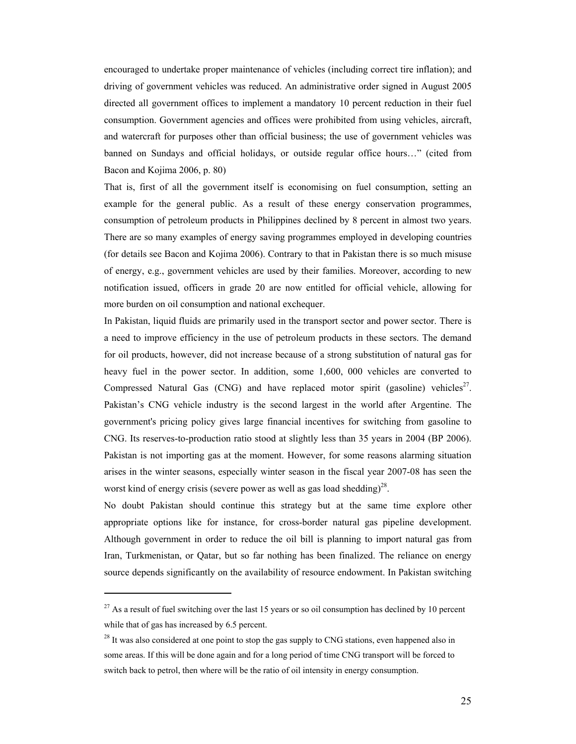encouraged to undertake proper maintenance of vehicles (including correct tire inflation); and driving of government vehicles was reduced. An administrative order signed in August 2005 directed all government offices to implement a mandatory 10 percent reduction in their fuel consumption. Government agencies and offices were prohibited from using vehicles, aircraft, and watercraft for purposes other than official business; the use of government vehicles was banned on Sundays and official holidays, or outside regular office hours…" (cited from Bacon and Kojima 2006, p. 80)

That is, first of all the government itself is economising on fuel consumption, setting an example for the general public. As a result of these energy conservation programmes, consumption of petroleum products in Philippines declined by 8 percent in almost two years. There are so many examples of energy saving programmes employed in developing countries (for details see Bacon and Kojima 2006). Contrary to that in Pakistan there is so much misuse of energy, e.g., government vehicles are used by their families. Moreover, according to new notification issued, officers in grade 20 are now entitled for official vehicle, allowing for more burden on oil consumption and national exchequer.

In Pakistan, liquid fluids are primarily used in the transport sector and power sector. There is a need to improve efficiency in the use of petroleum products in these sectors. The demand for oil products, however, did not increase because of a strong substitution of natural gas for heavy fuel in the power sector. In addition, some 1,600, 000 vehicles are converted to Compressed Natural Gas (CNG) and have replaced motor spirit (gasoline) vehicles<sup>27</sup>. Pakistan's CNG vehicle industry is the second largest in the world after Argentine. The government's pricing policy gives large financial incentives for switching from gasoline to CNG. Its reserves-to-production ratio stood at slightly less than 35 years in 2004 (BP 2006). Pakistan is not importing gas at the moment. However, for some reasons alarming situation arises in the winter seasons, especially winter season in the fiscal year 2007-08 has seen the worst kind of energy crisis (severe power as well as gas load shedding)<sup>28</sup>.

No doubt Pakistan should continue this strategy but at the same time explore other appropriate options like for instance, for cross-border natural gas pipeline development. Although government in order to reduce the oil bill is planning to import natural gas from Iran, Turkmenistan, or Qatar, but so far nothing has been finalized. The reliance on energy source depends significantly on the availability of resource endowment. In Pakistan switching

 $27$  As a result of fuel switching over the last 15 years or so oil consumption has declined by 10 percent while that of gas has increased by 6.5 percent.

 $^{28}$  It was also considered at one point to stop the gas supply to CNG stations, even happened also in some areas. If this will be done again and for a long period of time CNG transport will be forced to switch back to petrol, then where will be the ratio of oil intensity in energy consumption.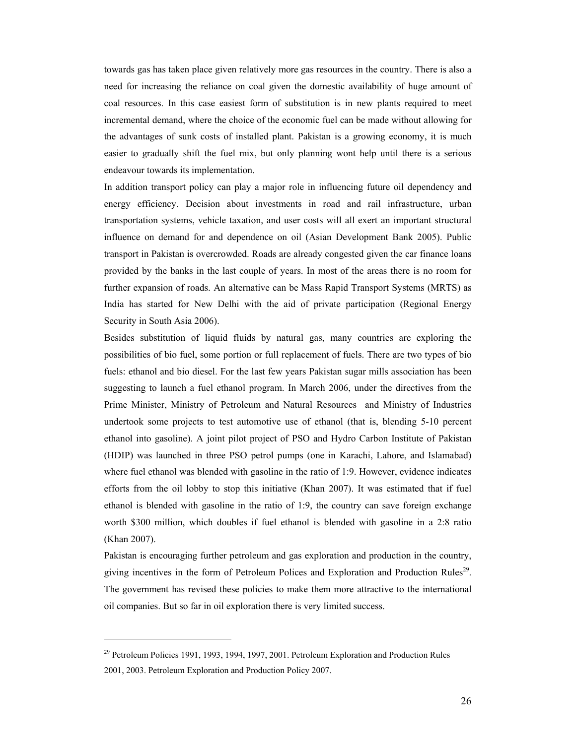towards gas has taken place given relatively more gas resources in the country. There is also a need for increasing the reliance on coal given the domestic availability of huge amount of coal resources. In this case easiest form of substitution is in new plants required to meet incremental demand, where the choice of the economic fuel can be made without allowing for the advantages of sunk costs of installed plant. Pakistan is a growing economy, it is much easier to gradually shift the fuel mix, but only planning wont help until there is a serious endeavour towards its implementation.

In addition transport policy can play a major role in influencing future oil dependency and energy efficiency. Decision about investments in road and rail infrastructure, urban transportation systems, vehicle taxation, and user costs will all exert an important structural influence on demand for and dependence on oil (Asian Development Bank 2005). Public transport in Pakistan is overcrowded. Roads are already congested given the car finance loans provided by the banks in the last couple of years. In most of the areas there is no room for further expansion of roads. An alternative can be Mass Rapid Transport Systems (MRTS) as India has started for New Delhi with the aid of private participation (Regional Energy Security in South Asia 2006).

Besides substitution of liquid fluids by natural gas, many countries are exploring the possibilities of bio fuel, some portion or full replacement of fuels. There are two types of bio fuels: ethanol and bio diesel. For the last few years Pakistan sugar mills association has been suggesting to launch a fuel ethanol program. In March 2006, under the directives from the Prime Minister, Ministry of Petroleum and Natural Resources and Ministry of Industries undertook some projects to test automotive use of ethanol (that is, blending 5-10 percent ethanol into gasoline). A joint pilot project of PSO and Hydro Carbon Institute of Pakistan (HDIP) was launched in three PSO petrol pumps (one in Karachi, Lahore, and Islamabad) where fuel ethanol was blended with gasoline in the ratio of 1:9. However, evidence indicates efforts from the oil lobby to stop this initiative (Khan 2007). It was estimated that if fuel ethanol is blended with gasoline in the ratio of 1:9, the country can save foreign exchange worth \$300 million, which doubles if fuel ethanol is blended with gasoline in a 2:8 ratio (Khan 2007).

Pakistan is encouraging further petroleum and gas exploration and production in the country, giving incentives in the form of Petroleum Polices and Exploration and Production Rules<sup>29</sup>. The government has revised these policies to make them more attractive to the international oil companies. But so far in oil exploration there is very limited success.

 $29$  Petroleum Policies 1991, 1993, 1994, 1997, 2001. Petroleum Exploration and Production Rules 2001, 2003. Petroleum Exploration and Production Policy 2007.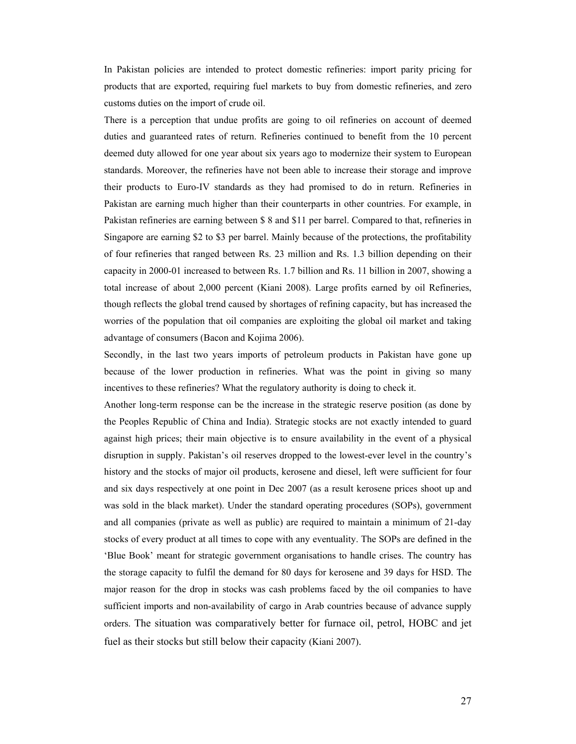In Pakistan policies are intended to protect domestic refineries: import parity pricing for products that are exported, requiring fuel markets to buy from domestic refineries, and zero customs duties on the import of crude oil.

There is a perception that undue profits are going to oil refineries on account of deemed duties and guaranteed rates of return. Refineries continued to benefit from the 10 percent deemed duty allowed for one year about six years ago to modernize their system to European standards. Moreover, the refineries have not been able to increase their storage and improve their products to Euro-IV standards as they had promised to do in return. Refineries in Pakistan are earning much higher than their counterparts in other countries. For example, in Pakistan refineries are earning between \$ 8 and \$11 per barrel. Compared to that, refineries in Singapore are earning \$2 to \$3 per barrel. Mainly because of the protections, the profitability of four refineries that ranged between Rs. 23 million and Rs. 1.3 billion depending on their capacity in 2000-01 increased to between Rs. 1.7 billion and Rs. 11 billion in 2007, showing a total increase of about 2,000 percent (Kiani 2008). Large profits earned by oil Refineries, though reflects the global trend caused by shortages of refining capacity, but has increased the worries of the population that oil companies are exploiting the global oil market and taking advantage of consumers (Bacon and Kojima 2006).

Secondly, in the last two years imports of petroleum products in Pakistan have gone up because of the lower production in refineries. What was the point in giving so many incentives to these refineries? What the regulatory authority is doing to check it.

Another long-term response can be the increase in the strategic reserve position (as done by the Peoples Republic of China and India). Strategic stocks are not exactly intended to guard against high prices; their main objective is to ensure availability in the event of a physical disruption in supply. Pakistan's oil reserves dropped to the lowest-ever level in the country's history and the stocks of major oil products, kerosene and diesel, left were sufficient for four and six days respectively at one point in Dec 2007 (as a result kerosene prices shoot up and was sold in the black market). Under the standard operating procedures (SOPs), government and all companies (private as well as public) are required to maintain a minimum of 21-day stocks of every product at all times to cope with any eventuality. The SOPs are defined in the 'Blue Book' meant for strategic government organisations to handle crises. The country has the storage capacity to fulfil the demand for 80 days for kerosene and 39 days for HSD. The major reason for the drop in stocks was cash problems faced by the oil companies to have sufficient imports and non-availability of cargo in Arab countries because of advance supply orders. The situation was comparatively better for furnace oil, petrol, HOBC and jet fuel as their stocks but still below their capacity (Kiani 2007).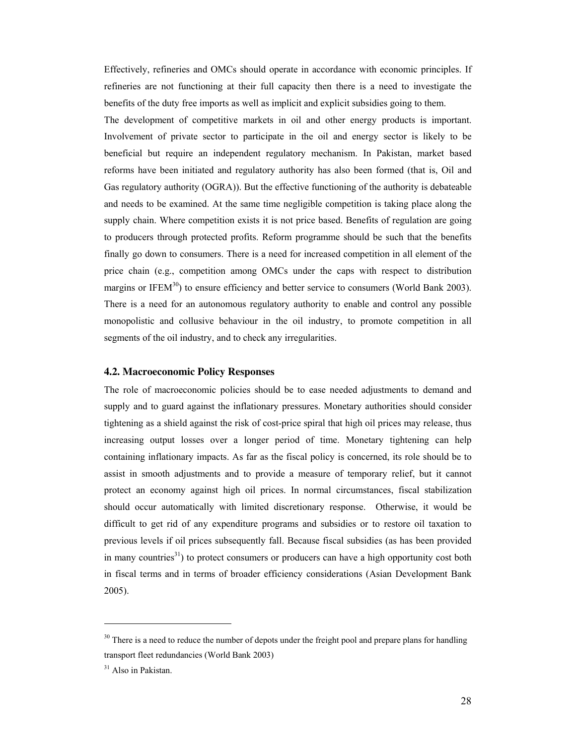Effectively, refineries and OMCs should operate in accordance with economic principles. If refineries are not functioning at their full capacity then there is a need to investigate the benefits of the duty free imports as well as implicit and explicit subsidies going to them.

The development of competitive markets in oil and other energy products is important. Involvement of private sector to participate in the oil and energy sector is likely to be beneficial but require an independent regulatory mechanism. In Pakistan, market based reforms have been initiated and regulatory authority has also been formed (that is, Oil and Gas regulatory authority (OGRA)). But the effective functioning of the authority is debateable and needs to be examined. At the same time negligible competition is taking place along the supply chain. Where competition exists it is not price based. Benefits of regulation are going to producers through protected profits. Reform programme should be such that the benefits finally go down to consumers. There is a need for increased competition in all element of the price chain (e.g., competition among OMCs under the caps with respect to distribution margins or IFEM<sup>30</sup>) to ensure efficiency and better service to consumers (World Bank 2003). There is a need for an autonomous regulatory authority to enable and control any possible monopolistic and collusive behaviour in the oil industry, to promote competition in all segments of the oil industry, and to check any irregularities.

#### **4.2. Macroeconomic Policy Responses**

The role of macroeconomic policies should be to ease needed adjustments to demand and supply and to guard against the inflationary pressures. Monetary authorities should consider tightening as a shield against the risk of cost-price spiral that high oil prices may release, thus increasing output losses over a longer period of time. Monetary tightening can help containing inflationary impacts. As far as the fiscal policy is concerned, its role should be to assist in smooth adjustments and to provide a measure of temporary relief, but it cannot protect an economy against high oil prices. In normal circumstances, fiscal stabilization should occur automatically with limited discretionary response. Otherwise, it would be difficult to get rid of any expenditure programs and subsidies or to restore oil taxation to previous levels if oil prices subsequently fall. Because fiscal subsidies (as has been provided in many countries<sup>31</sup>) to protect consumers or producers can have a high opportunity cost both in fiscal terms and in terms of broader efficiency considerations (Asian Development Bank 2005).

 $30$  There is a need to reduce the number of depots under the freight pool and prepare plans for handling transport fleet redundancies (World Bank 2003)

<sup>&</sup>lt;sup>31</sup> Also in Pakistan.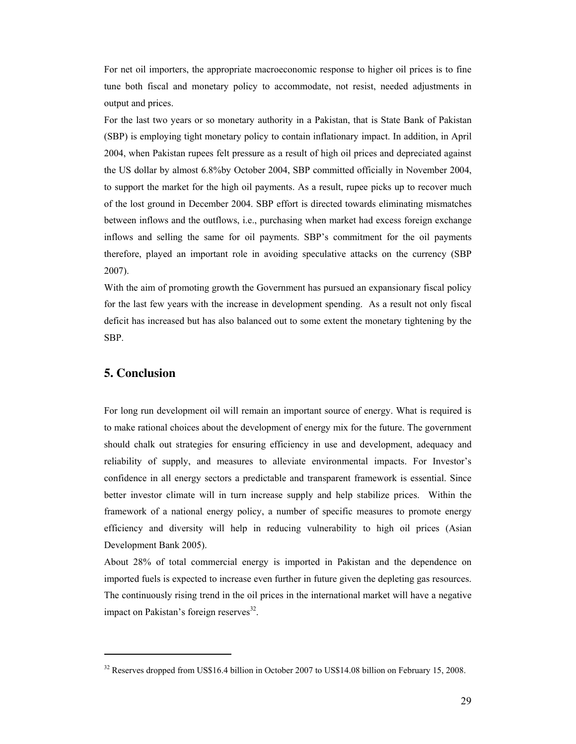For net oil importers, the appropriate macroeconomic response to higher oil prices is to fine tune both fiscal and monetary policy to accommodate, not resist, needed adjustments in output and prices.

For the last two years or so monetary authority in a Pakistan, that is State Bank of Pakistan (SBP) is employing tight monetary policy to contain inflationary impact. In addition, in April 2004, when Pakistan rupees felt pressure as a result of high oil prices and depreciated against the US dollar by almost 6.8%by October 2004, SBP committed officially in November 2004, to support the market for the high oil payments. As a result, rupee picks up to recover much of the lost ground in December 2004. SBP effort is directed towards eliminating mismatches between inflows and the outflows, i.e., purchasing when market had excess foreign exchange inflows and selling the same for oil payments. SBP's commitment for the oil payments therefore, played an important role in avoiding speculative attacks on the currency (SBP 2007).

With the aim of promoting growth the Government has pursued an expansionary fiscal policy for the last few years with the increase in development spending. As a result not only fiscal deficit has increased but has also balanced out to some extent the monetary tightening by the SBP.

## **5. Conclusion**

 $\overline{a}$ 

For long run development oil will remain an important source of energy. What is required is to make rational choices about the development of energy mix for the future. The government should chalk out strategies for ensuring efficiency in use and development, adequacy and reliability of supply, and measures to alleviate environmental impacts. For Investor's confidence in all energy sectors a predictable and transparent framework is essential. Since better investor climate will in turn increase supply and help stabilize prices. Within the framework of a national energy policy, a number of specific measures to promote energy efficiency and diversity will help in reducing vulnerability to high oil prices (Asian Development Bank 2005).

About 28% of total commercial energy is imported in Pakistan and the dependence on imported fuels is expected to increase even further in future given the depleting gas resources. The continuously rising trend in the oil prices in the international market will have a negative impact on Pakistan's foreign reserves<sup>32</sup>.

<sup>&</sup>lt;sup>32</sup> Reserves dropped from US\$16.4 billion in October 2007 to US\$14.08 billion on February 15, 2008.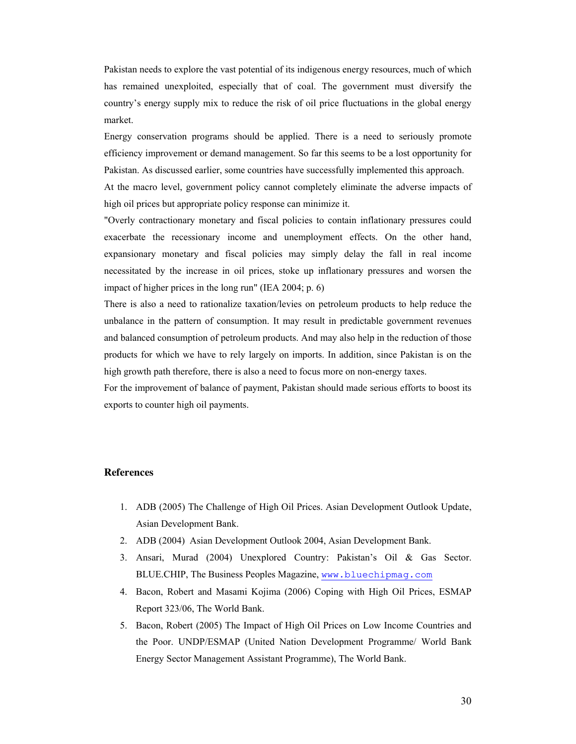Pakistan needs to explore the vast potential of its indigenous energy resources, much of which has remained unexploited, especially that of coal. The government must diversify the country's energy supply mix to reduce the risk of oil price fluctuations in the global energy market.

Energy conservation programs should be applied. There is a need to seriously promote efficiency improvement or demand management. So far this seems to be a lost opportunity for Pakistan. As discussed earlier, some countries have successfully implemented this approach.

At the macro level, government policy cannot completely eliminate the adverse impacts of high oil prices but appropriate policy response can minimize it.

"Overly contractionary monetary and fiscal policies to contain inflationary pressures could exacerbate the recessionary income and unemployment effects. On the other hand, expansionary monetary and fiscal policies may simply delay the fall in real income necessitated by the increase in oil prices, stoke up inflationary pressures and worsen the impact of higher prices in the long run" (IEA 2004; p. 6)

There is also a need to rationalize taxation/levies on petroleum products to help reduce the unbalance in the pattern of consumption. It may result in predictable government revenues and balanced consumption of petroleum products. And may also help in the reduction of those products for which we have to rely largely on imports. In addition, since Pakistan is on the high growth path therefore, there is also a need to focus more on non-energy taxes.

For the improvement of balance of payment, Pakistan should made serious efforts to boost its exports to counter high oil payments.

### **References**

- 1. ADB (2005) The Challenge of High Oil Prices. Asian Development Outlook Update, Asian Development Bank.
- 2. ADB (2004) Asian Development Outlook 2004, Asian Development Bank.
- 3. Ansari, Murad (2004) Unexplored Country: Pakistan's Oil & Gas Sector. BLUE.CHIP, The Business Peoples Magazine, www.bluechipmag.com
- 4. Bacon, Robert and Masami Kojima (2006) Coping with High Oil Prices, ESMAP Report 323/06, The World Bank.
- 5. Bacon, Robert (2005) The Impact of High Oil Prices on Low Income Countries and the Poor. UNDP/ESMAP (United Nation Development Programme/ World Bank Energy Sector Management Assistant Programme), The World Bank.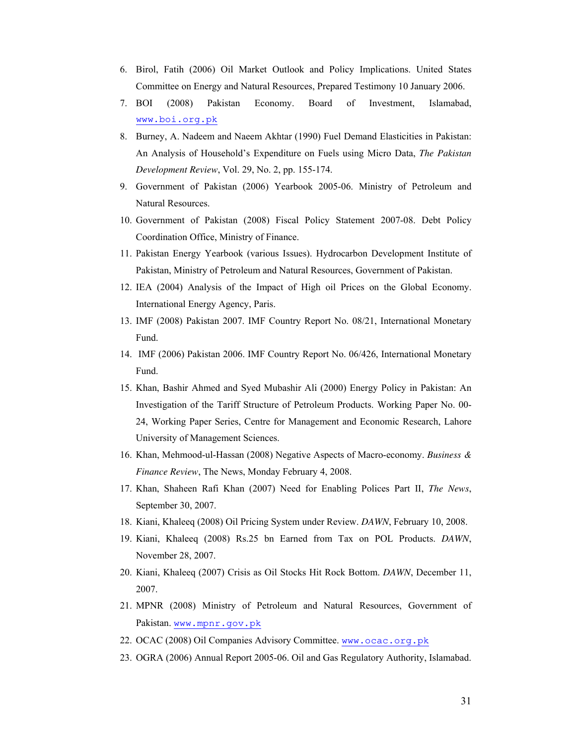- 6. Birol, Fatih (2006) Oil Market Outlook and Policy Implications. United States Committee on Energy and Natural Resources, Prepared Testimony 10 January 2006.
- 7. BOI (2008) Pakistan Economy. Board of Investment, Islamabad, www.boi.org.pk
- 8. Burney, A. Nadeem and Naeem Akhtar (1990) Fuel Demand Elasticities in Pakistan: An Analysis of Household's Expenditure on Fuels using Micro Data, *The Pakistan Development Review*, Vol. 29, No. 2, pp. 155-174.
- 9. Government of Pakistan (2006) Yearbook 2005-06. Ministry of Petroleum and Natural Resources.
- 10. Government of Pakistan (2008) Fiscal Policy Statement 2007-08. Debt Policy Coordination Office, Ministry of Finance.
- 11. Pakistan Energy Yearbook (various Issues). Hydrocarbon Development Institute of Pakistan, Ministry of Petroleum and Natural Resources, Government of Pakistan.
- 12. IEA (2004) Analysis of the Impact of High oil Prices on the Global Economy. International Energy Agency, Paris.
- 13. IMF (2008) Pakistan 2007. IMF Country Report No. 08/21, International Monetary Fund.
- 14. IMF (2006) Pakistan 2006. IMF Country Report No. 06/426, International Monetary Fund.
- 15. Khan, Bashir Ahmed and Syed Mubashir Ali (2000) Energy Policy in Pakistan: An Investigation of the Tariff Structure of Petroleum Products. Working Paper No. 00- 24, Working Paper Series, Centre for Management and Economic Research, Lahore University of Management Sciences.
- 16. Khan, Mehmood-ul-Hassan (2008) Negative Aspects of Macro-economy. *Business & Finance Review*, The News, Monday February 4, 2008.
- 17. Khan, Shaheen Rafi Khan (2007) Need for Enabling Polices Part II, *The News*, September 30, 2007.
- 18. Kiani, Khaleeq (2008) Oil Pricing System under Review. *DAWN*, February 10, 2008.
- 19. Kiani, Khaleeq (2008) Rs.25 bn Earned from Tax on POL Products. *DAWN*, November 28, 2007.
- 20. Kiani, Khaleeq (2007) Crisis as Oil Stocks Hit Rock Bottom. *DAWN*, December 11, 2007.
- 21. MPNR (2008) Ministry of Petroleum and Natural Resources, Government of Pakistan. www.mpnr.gov.pk
- 22. OCAC (2008) Oil Companies Advisory Committee. www.ocac.org.pk
- 23. OGRA (2006) Annual Report 2005-06. Oil and Gas Regulatory Authority, Islamabad.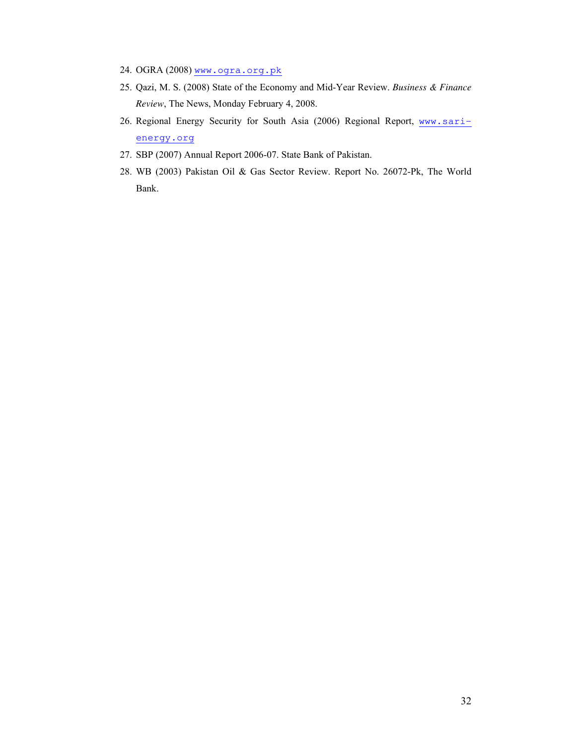- 24. OGRA (2008) www.ogra.org.pk
- 25. Qazi, M. S. (2008) State of the Economy and Mid-Year Review. *Business & Finance Review*, The News, Monday February 4, 2008.
- 26. Regional Energy Security for South Asia (2006) Regional Report, www.sarienergy.org
- 27. SBP (2007) Annual Report 2006-07. State Bank of Pakistan.
- 28. WB (2003) Pakistan Oil & Gas Sector Review. Report No. 26072-Pk, The World Bank.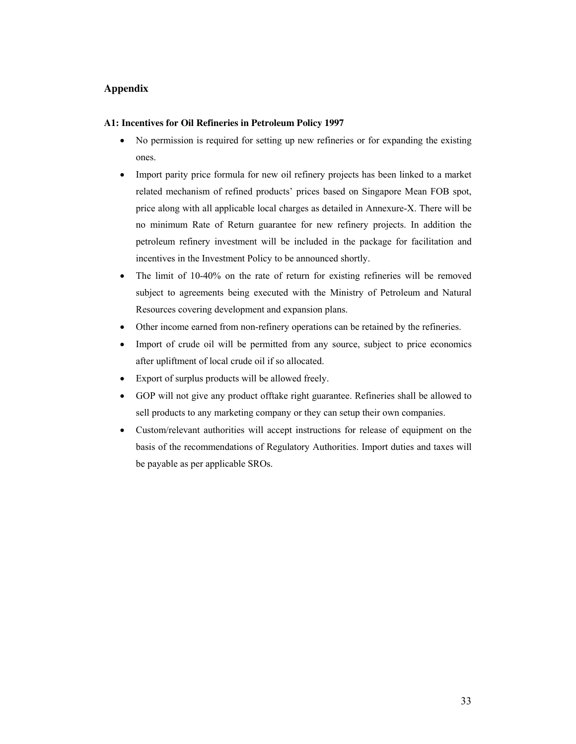## **Appendix**

## **A1: Incentives for Oil Refineries in Petroleum Policy 1997**

- No permission is required for setting up new refineries or for expanding the existing ones.
- Import parity price formula for new oil refinery projects has been linked to a market related mechanism of refined products' prices based on Singapore Mean FOB spot, price along with all applicable local charges as detailed in Annexure-X. There will be no minimum Rate of Return guarantee for new refinery projects. In addition the petroleum refinery investment will be included in the package for facilitation and incentives in the Investment Policy to be announced shortly.
- The limit of 10-40% on the rate of return for existing refineries will be removed subject to agreements being executed with the Ministry of Petroleum and Natural Resources covering development and expansion plans.
- Other income earned from non-refinery operations can be retained by the refineries.
- Import of crude oil will be permitted from any source, subject to price economics after upliftment of local crude oil if so allocated.
- Export of surplus products will be allowed freely.
- GOP will not give any product offtake right guarantee. Refineries shall be allowed to sell products to any marketing company or they can setup their own companies.
- Custom/relevant authorities will accept instructions for release of equipment on the basis of the recommendations of Regulatory Authorities. Import duties and taxes will be payable as per applicable SROs.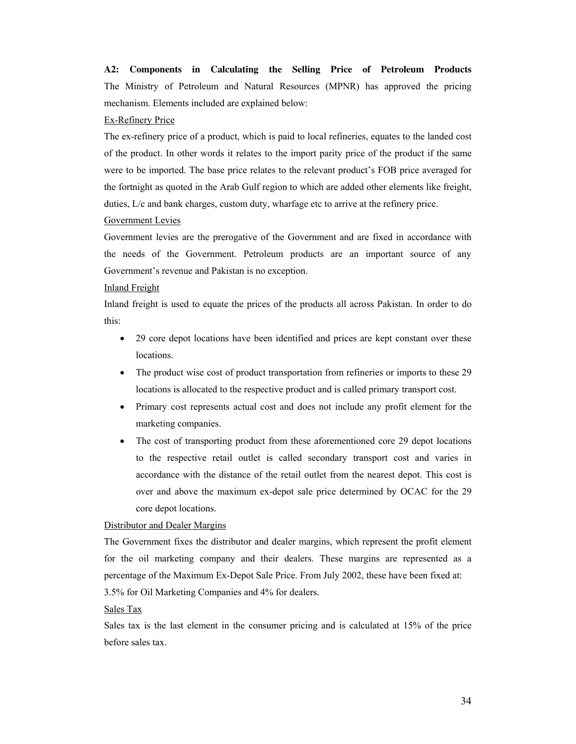**A2: Components in Calculating the Selling Price of Petroleum Products** The Ministry of Petroleum and Natural Resources (MPNR) has approved the pricing mechanism. Elements included are explained below:

#### Ex-Refinery Price

The ex-refinery price of a product, which is paid to local refineries, equates to the landed cost of the product. In other words it relates to the import parity price of the product if the same were to be imported. The base price relates to the relevant product's FOB price averaged for the fortnight as quoted in the Arab Gulf region to which are added other elements like freight, duties, L/c and bank charges, custom duty, wharfage etc to arrive at the refinery price.

#### Government Levies

Government levies are the prerogative of the Government and are fixed in accordance with the needs of the Government. Petroleum products are an important source of any Government's revenue and Pakistan is no exception.

#### Inland Freight

Inland freight is used to equate the prices of the products all across Pakistan. In order to do this:

- 29 core depot locations have been identified and prices are kept constant over these locations.
- The product wise cost of product transportation from refineries or imports to these 29 locations is allocated to the respective product and is called primary transport cost.
- Primary cost represents actual cost and does not include any profit element for the marketing companies.
- The cost of transporting product from these aforementioned core 29 depot locations to the respective retail outlet is called secondary transport cost and varies in accordance with the distance of the retail outlet from the nearest depot. This cost is over and above the maximum ex-depot sale price determined by OCAC for the 29 core depot locations.

## Distributor and Dealer Margins

The Government fixes the distributor and dealer margins, which represent the profit element for the oil marketing company and their dealers. These margins are represented as a percentage of the Maximum Ex-Depot Sale Price. From July 2002, these have been fixed at: 3.5% for Oil Marketing Companies and 4% for dealers.

#### Sales Tax

Sales tax is the last element in the consumer pricing and is calculated at 15% of the price before sales tax. **53.**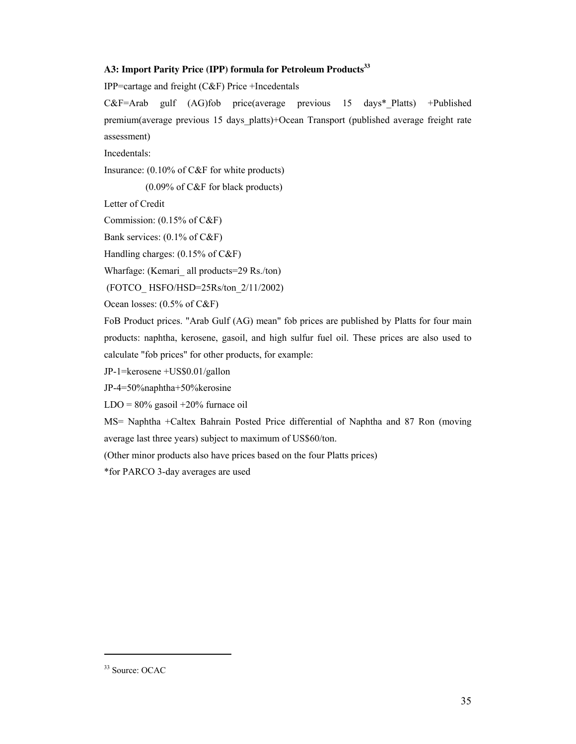## **A3: Import Parity Price (IPP) formula for Petroleum Products<sup>33</sup>**

IPP=cartage and freight (C&F) Price +Incedentals

C&F=Arab gulf (AG)fob price(average previous 15 days\*\_Platts) +Published premium(average previous 15 days\_platts)+Ocean Transport (published average freight rate assessment)

Incedentals:

Insurance: (0.10% of C&F for white products)

(0.09% of C&F for black products)

Letter of Credit

Commission: (0.15% of C&F)

Bank services: (0.1% of C&F)

Handling charges: (0.15% of C&F)

Wharfage: (Kemari all products=29 Rs./ton)

(FOTCO\_ HSFO/HSD=25Rs/ton\_2/11/2002)

Ocean losses: (0.5% of C&F)

FoB Product prices. "Arab Gulf (AG) mean" fob prices are published by Platts for four main products: naphtha, kerosene, gasoil, and high sulfur fuel oil. These prices are also used to calculate "fob prices" for other products, for example:

JP-1=kerosene +US\$0.01/gallon

JP-4=50%naphtha+50%kerosine

 $LDO = 80\%$  gasoil  $+20\%$  furnace oil

MS= Naphtha +Caltex Bahrain Posted Price differential of Naphtha and 87 Ron (moving average last three years) subject to maximum of US\$60/ton.

(Other minor products also have prices based on the four Platts prices)

\*for PARCO 3-day averages are used

<sup>33</sup> Source: OCAC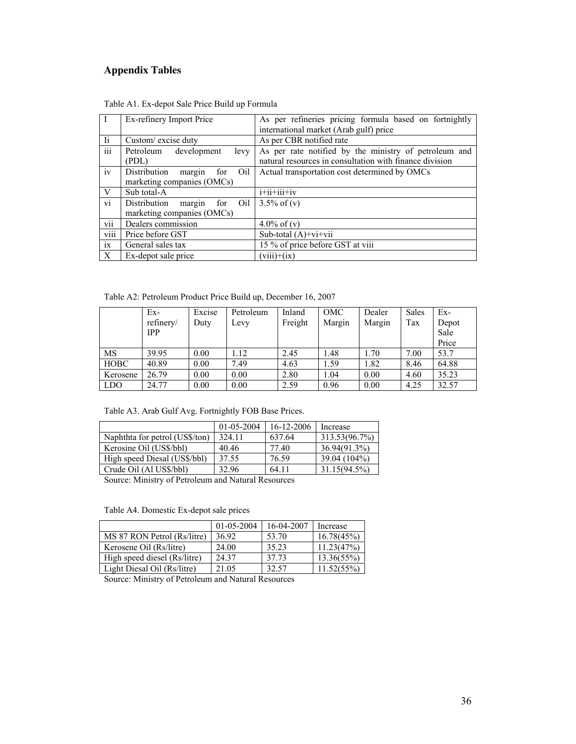## **Appendix Tables**

| $\mathbf{I}$            | Ex-refinery Import Price                                           | As per refineries pricing formula based on fortnightly<br>international market (Arab gulf) price                 |  |  |
|-------------------------|--------------------------------------------------------------------|------------------------------------------------------------------------------------------------------------------|--|--|
| $\overline{\mathbf{h}}$ | Custom/excise duty                                                 | As per CBR notified rate                                                                                         |  |  |
| $\overline{\text{iii}}$ | Petroleum development<br>levy<br>(PDL)                             | As per rate notified by the ministry of petroleum and<br>natural resources in consultation with finance division |  |  |
| iv                      | Distribution<br>Oil<br>margin<br>for<br>marketing companies (OMCs) | Actual transportation cost determined by OMCs                                                                    |  |  |
| V                       | Sub total-A                                                        | $i+i$ $i+i$ $i+i$ $v$                                                                                            |  |  |
| vi                      | margin<br>Distribution<br>Oil<br>for<br>marketing companies (OMCs) | $3.5\%$ of (v)                                                                                                   |  |  |
| vii                     | Dealers commission                                                 | $4.0\%$ of (v)                                                                                                   |  |  |
| viii                    | Price before GST                                                   | Sub-total $(A)+vi+vi$                                                                                            |  |  |
| ix                      | General sales tax                                                  | 15 % of price before GST at viii                                                                                 |  |  |
| X                       | Ex-depot sale price                                                | $(viii)+(ix)$                                                                                                    |  |  |

| Table A1. Ex-depot Sale Price Build up Formula |  |
|------------------------------------------------|--|
|------------------------------------------------|--|

Table A2: Petroleum Product Price Build up, December 16, 2007

|             | $Ex-$      | Excise | Petroleum | Inland  | OMC    | Dealer | <b>Sales</b> | Ex-   |
|-------------|------------|--------|-----------|---------|--------|--------|--------------|-------|
|             | refinery/  | Duty   | Levy      | Freight | Margin | Margin | Tax          | Depot |
|             | <b>IPP</b> |        |           |         |        |        |              | Sale  |
|             |            |        |           |         |        |        |              | Price |
| <b>MS</b>   | 39.95      | 0.00   | 1.12      | 2.45    | 1.48   | 1.70   | 7.00         | 53.7  |
| <b>HOBC</b> | 40.89      | 0.00   | 7.49      | 4.63    | 1.59   | 1.82   | 8.46         | 64.88 |
| Kerosene    | 26.79      | 0.00   | 0.00      | 2.80    | 1.04   | 0.00   | 4.60         | 35.23 |
| <b>LDO</b>  | 24.77      | 0.00   | 0.00      | 2.59    | 0.96   | 0.00   | 4.25         | 32.57 |

|                                | 01-05-2004 | 16-12-2006 | Increase        |
|--------------------------------|------------|------------|-----------------|
| Naphthta for petrol (US\$/ton) | 324 11     | 637.64     | 313.53(96.7%)   |
| Kerosine Oil (US\$/bbl)        | 40.46      | 77.40      | 36.94(91.3%)    |
| High speed Diesal (US\$/bbl)   | 37.55      | 76.59      | 39.04 (104%)    |
| Crude Oil (Al US\$/bbl)        | 32.96      | 64.11      | $31.15(94.5\%)$ |

Source: Ministry of Petroleum and Natural Resources

Table A4. Domestic Ex-depot sale prices

|                              | 01-05-2004 | 16-04-2007 | Increase      |
|------------------------------|------------|------------|---------------|
| MS 87 RON Petrol (Rs/litre)  | 36.92      | 53.70      | 16.78(45%)    |
| Kerosene Oil (Rs/litre)      | 24.00      | 35.23      | 11.23(47%)    |
| High speed diesel (Rs/litre) | 24.37      | 37.73      | $13.36(55\%)$ |
| Light Diesal Oil (Rs/litre)  | 21.05      | 32.57      | 11.52(55%)    |

Source: Ministry of Petroleum and Natural Resources